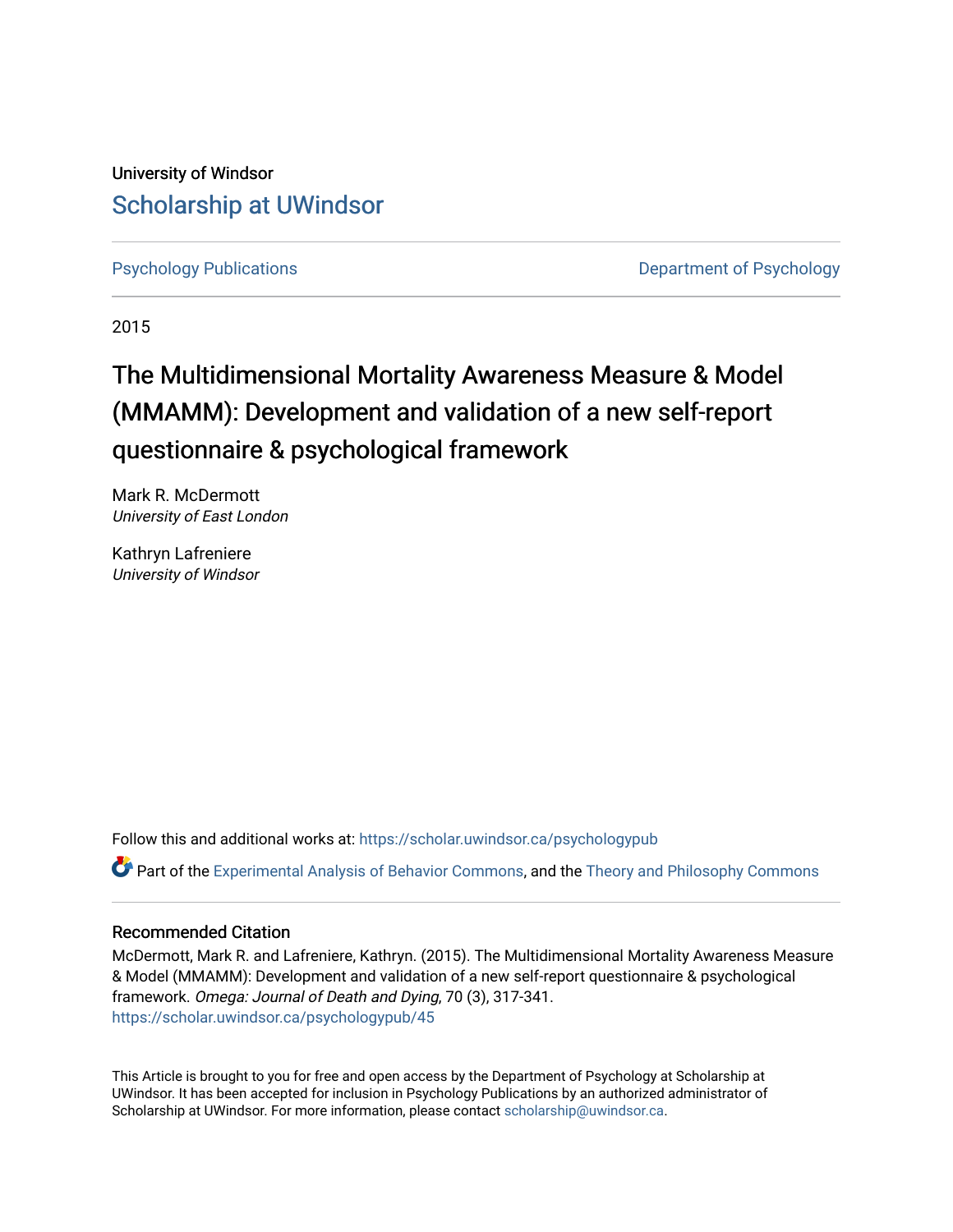University of Windsor [Scholarship at UWindsor](https://scholar.uwindsor.ca/) 

[Psychology Publications](https://scholar.uwindsor.ca/psychologypub) [Department of Psychology](https://scholar.uwindsor.ca/psychology) 

2015

# The Multidimensional Mortality Awareness Measure & Model (MMAMM): Development and validation of a new self-report questionnaire & psychological framework

Mark R. McDermott University of East London

Kathryn Lafreniere University of Windsor

Follow this and additional works at: [https://scholar.uwindsor.ca/psychologypub](https://scholar.uwindsor.ca/psychologypub?utm_source=scholar.uwindsor.ca%2Fpsychologypub%2F45&utm_medium=PDF&utm_campaign=PDFCoverPages) 

Part of the [Experimental Analysis of Behavior Commons,](http://network.bepress.com/hgg/discipline/1236?utm_source=scholar.uwindsor.ca%2Fpsychologypub%2F45&utm_medium=PDF&utm_campaign=PDFCoverPages) and the [Theory and Philosophy Commons](http://network.bepress.com/hgg/discipline/1238?utm_source=scholar.uwindsor.ca%2Fpsychologypub%2F45&utm_medium=PDF&utm_campaign=PDFCoverPages) 

## Recommended Citation

McDermott, Mark R. and Lafreniere, Kathryn. (2015). The Multidimensional Mortality Awareness Measure & Model (MMAMM): Development and validation of a new self-report questionnaire & psychological framework. Omega: Journal of Death and Dying, 70 (3), 317-341. [https://scholar.uwindsor.ca/psychologypub/45](https://scholar.uwindsor.ca/psychologypub/45?utm_source=scholar.uwindsor.ca%2Fpsychologypub%2F45&utm_medium=PDF&utm_campaign=PDFCoverPages)

This Article is brought to you for free and open access by the Department of Psychology at Scholarship at UWindsor. It has been accepted for inclusion in Psychology Publications by an authorized administrator of Scholarship at UWindsor. For more information, please contact [scholarship@uwindsor.ca.](mailto:scholarship@uwindsor.ca)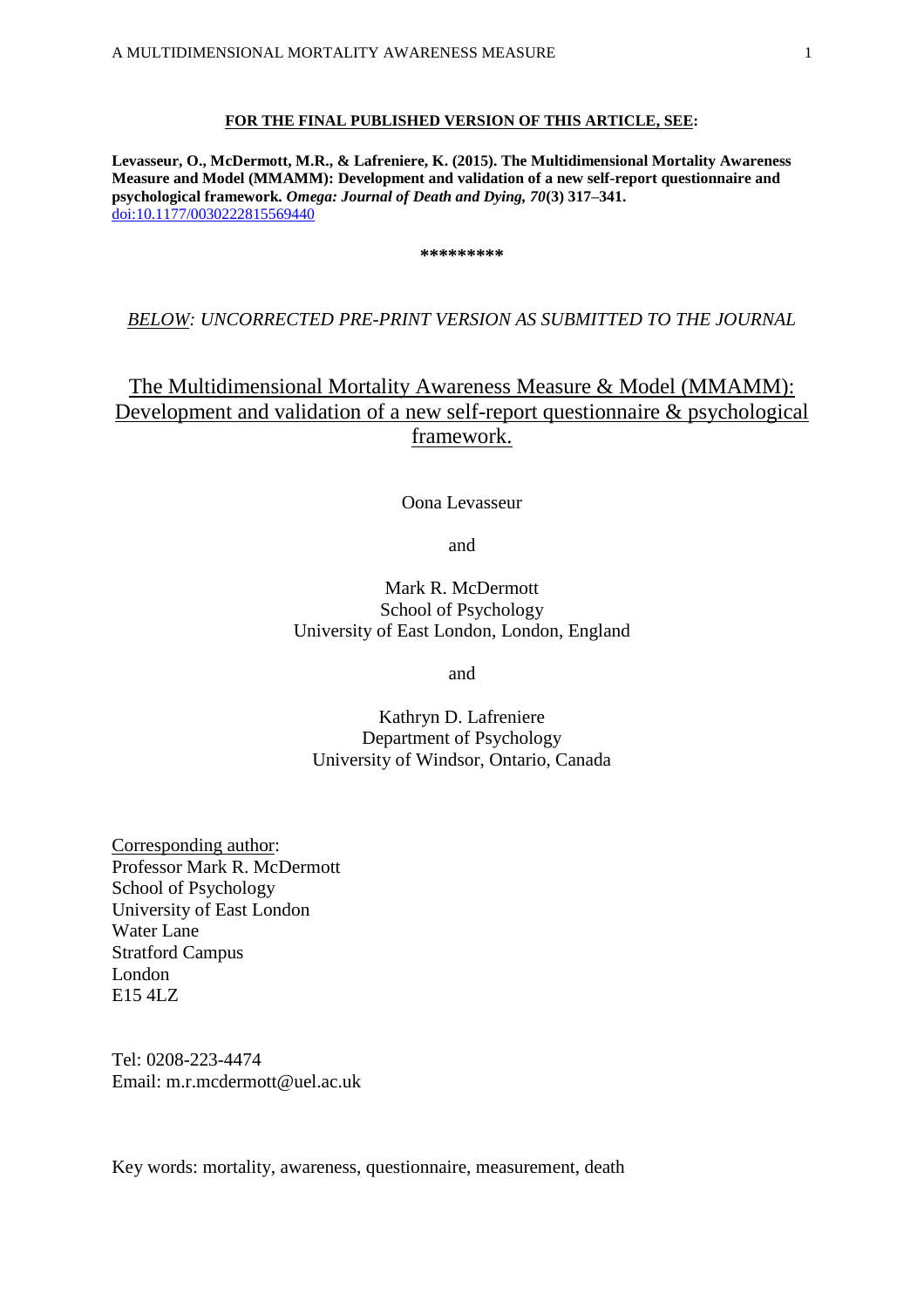#### **FOR THE FINAL PUBLISHED VERSION OF THIS ARTICLE, SEE:**

**Levasseur, O., McDermott, M.R., & Lafreniere, K. (2015). The Multidimensional Mortality Awareness Measure and Model (MMAMM): Development and validation of a new self-report questionnaire and psychological framework.** *Omega: Journal of Death and Dying, 70***(3) 317–341.** [doi:10.1177/0030222815569440](http://dx.doi.org/10.1177/0030222815569440)

**\*\*\*\*\*\*\*\*\***

## *BELOW: UNCORRECTED PRE-PRINT VERSION AS SUBMITTED TO THE JOURNAL*

## The Multidimensional Mortality Awareness Measure & Model (MMAMM): Development and validation of a new self-report questionnaire & psychological framework.

#### Oona Levasseur

and

## Mark R. McDermott School of Psychology University of East London, London, England

and

Kathryn D. Lafreniere Department of Psychology University of Windsor, Ontario, Canada

Corresponding author: Professor Mark R. McDermott School of Psychology University of East London Water Lane Stratford Campus London E15 4LZ

Tel: 0208-223-4474 Email: [m.r.mcdermott@uel.ac.uk](mailto:m.r.mcdermott@uel.ac.uk)

Key words: mortality, awareness, questionnaire, measurement, death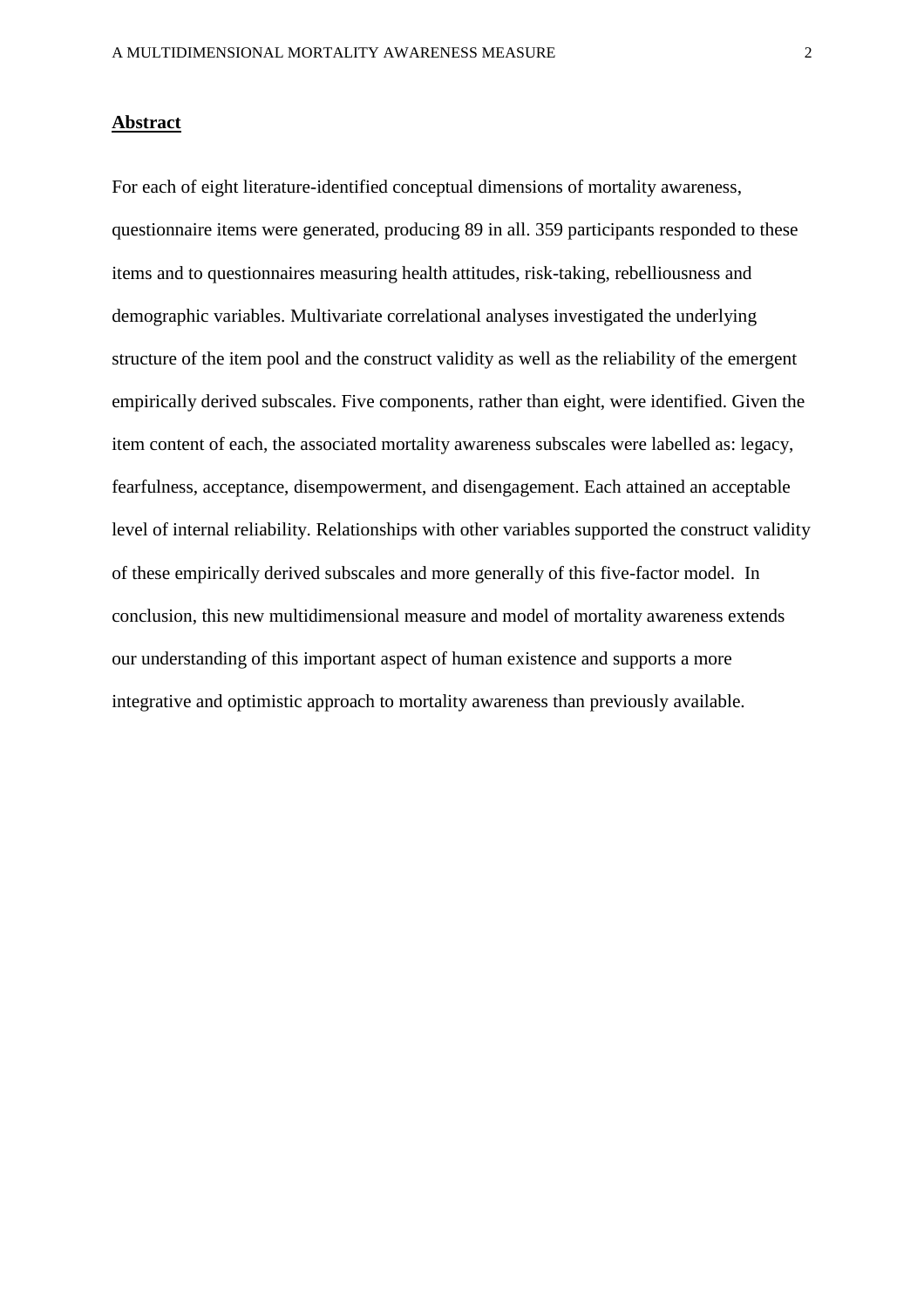## **Abstract**

For each of eight literature-identified conceptual dimensions of mortality awareness, questionnaire items were generated, producing 89 in all. 359 participants responded to these items and to questionnaires measuring health attitudes, risk-taking, rebelliousness and demographic variables. Multivariate correlational analyses investigated the underlying structure of the item pool and the construct validity as well as the reliability of the emergent empirically derived subscales. Five components, rather than eight, were identified. Given the item content of each, the associated mortality awareness subscales were labelled as: legacy, fearfulness, acceptance, disempowerment, and disengagement. Each attained an acceptable level of internal reliability. Relationships with other variables supported the construct validity of these empirically derived subscales and more generally of this five-factor model. In conclusion, this new multidimensional measure and model of mortality awareness extends our understanding of this important aspect of human existence and supports a more integrative and optimistic approach to mortality awareness than previously available.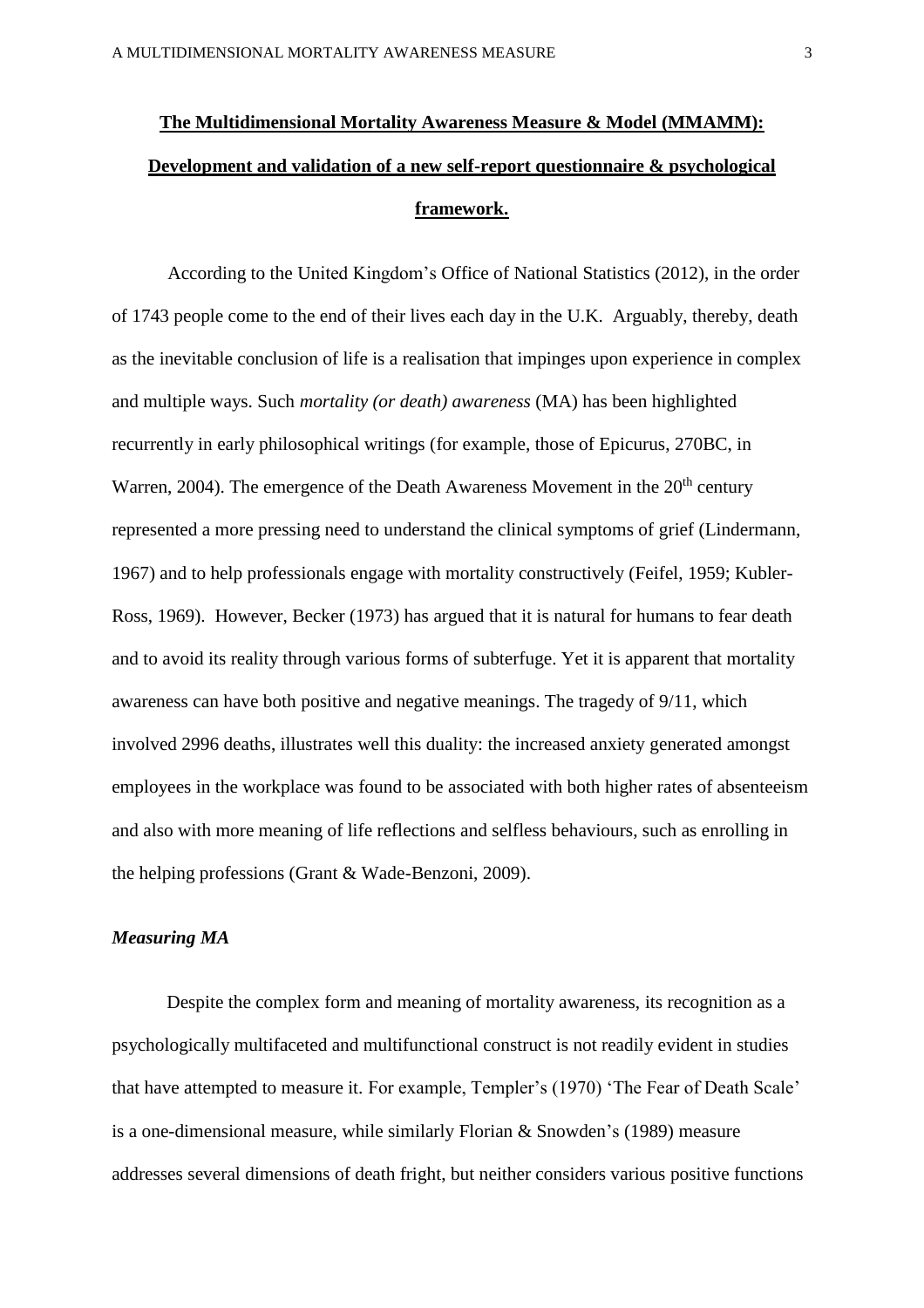# **The Multidimensional Mortality Awareness Measure & Model (MMAMM): Development and validation of a new self-report questionnaire & psychological framework.**

According to the United Kingdom's Office of National Statistics (2012), in the order of 1743 people come to the end of their lives each day in the U.K. Arguably, thereby, death as the inevitable conclusion of life is a realisation that impinges upon experience in complex and multiple ways. Such *mortality (or death) awareness* (MA) has been highlighted recurrently in early philosophical writings (for example, those of Epicurus, 270BC, in Warren, 2004). The emergence of the Death Awareness Movement in the 20<sup>th</sup> century represented a more pressing need to understand the clinical symptoms of grief (Lindermann, 1967) and to help professionals engage with mortality constructively (Feifel, 1959; Kubler-Ross, 1969). However, Becker (1973) has argued that it is natural for humans to fear death and to avoid its reality through various forms of subterfuge. Yet it is apparent that mortality awareness can have both positive and negative meanings. The tragedy of 9/11, which involved 2996 deaths, illustrates well this duality: the increased anxiety generated amongst employees in the workplace was found to be associated with both higher rates of absenteeism and also with more meaning of life reflections and selfless behaviours, such as enrolling in the helping professions (Grant & Wade-Benzoni, 2009).

#### *Measuring MA*

Despite the complex form and meaning of mortality awareness, its recognition as a psychologically multifaceted and multifunctional construct is not readily evident in studies that have attempted to measure it. For example, Templer's (1970) 'The Fear of Death Scale' is a one-dimensional measure, while similarly Florian & Snowden's (1989) measure addresses several dimensions of death fright, but neither considers various positive functions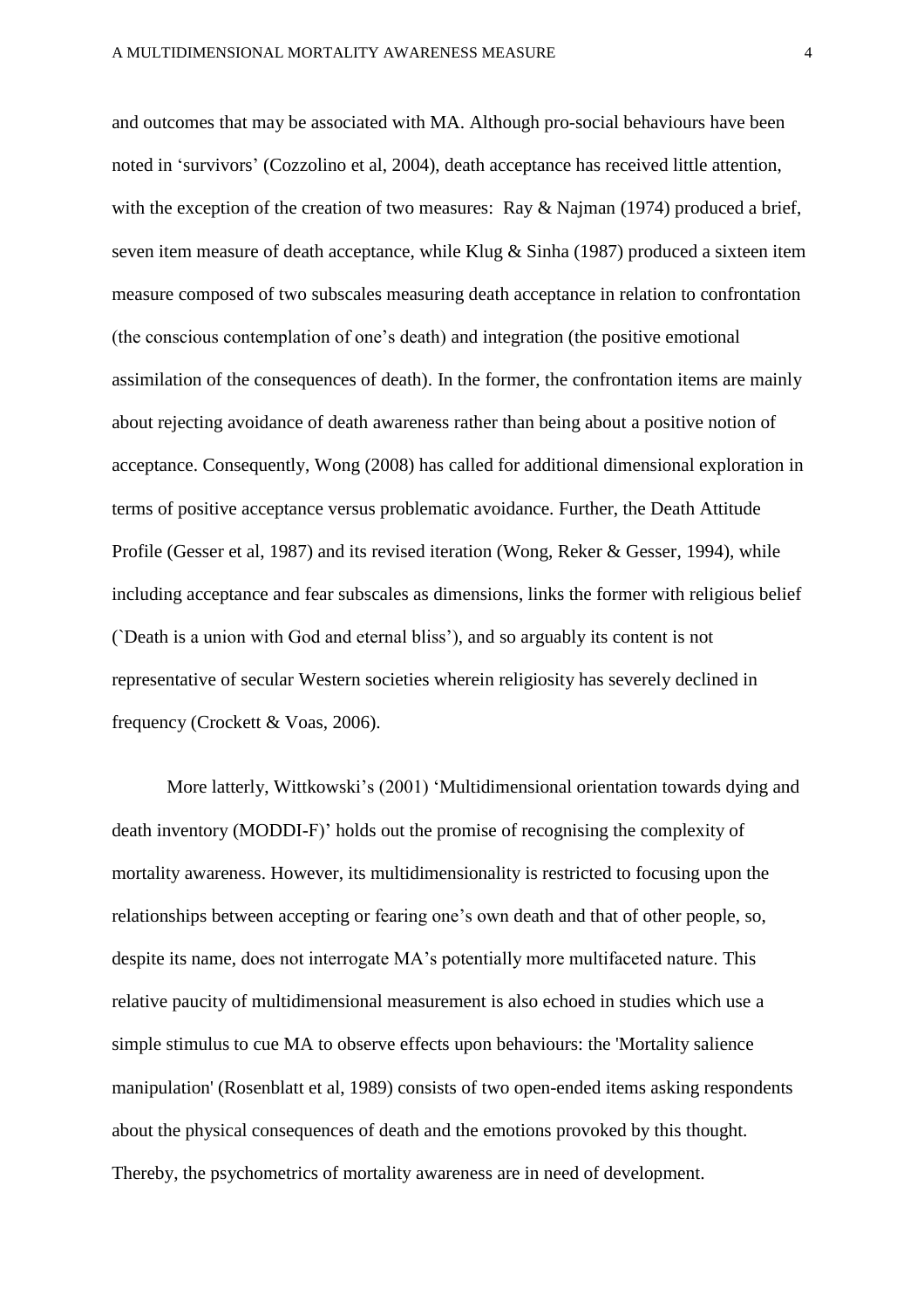and outcomes that may be associated with MA. Although pro-social behaviours have been noted in 'survivors' (Cozzolino et al, 2004), death acceptance has received little attention, with the exception of the creation of two measures: Ray & Najman (1974) produced a brief, seven item measure of death acceptance, while Klug & Sinha (1987) produced a sixteen item measure composed of two subscales measuring death acceptance in relation to confrontation (the conscious contemplation of one's death) and integration (the positive emotional assimilation of the consequences of death). In the former, the confrontation items are mainly about rejecting avoidance of death awareness rather than being about a positive notion of acceptance. Consequently, Wong (2008) has called for additional dimensional exploration in terms of positive acceptance versus problematic avoidance. Further, the Death Attitude Profile (Gesser et al, 1987) and its revised iteration (Wong, Reker & Gesser, 1994), while including acceptance and fear subscales as dimensions, links the former with religious belief (`Death is a union with God and eternal bliss'), and so arguably its content is not representative of secular Western societies wherein religiosity has severely declined in frequency (Crockett & Voas, 2006).

More latterly, Wittkowski's (2001) 'Multidimensional orientation towards dying and death inventory (MODDI-F)' holds out the promise of recognising the complexity of mortality awareness. However, its multidimensionality is restricted to focusing upon the relationships between accepting or fearing one's own death and that of other people, so, despite its name, does not interrogate MA's potentially more multifaceted nature. This relative paucity of multidimensional measurement is also echoed in studies which use a simple stimulus to cue MA to observe effects upon behaviours: the 'Mortality salience manipulation' (Rosenblatt et al, 1989) consists of two open-ended items asking respondents about the physical consequences of death and the emotions provoked by this thought. Thereby, the psychometrics of mortality awareness are in need of development.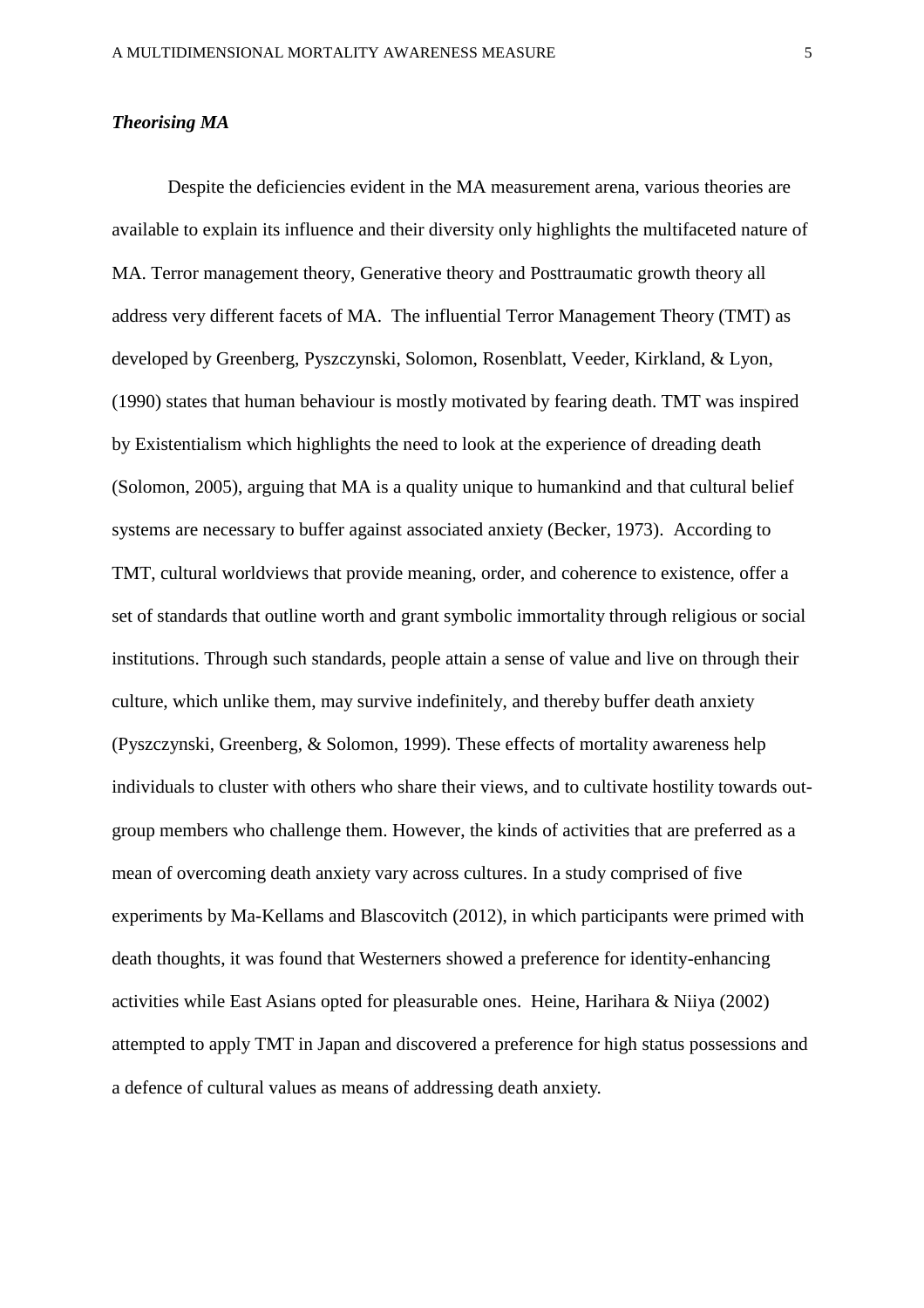## *Theorising MA*

Despite the deficiencies evident in the MA measurement arena, various theories are available to explain its influence and their diversity only highlights the multifaceted nature of MA. Terror management theory, Generative theory and Posttraumatic growth theory all address very different facets of MA. The influential Terror Management Theory (TMT) as developed by Greenberg, Pyszczynski, Solomon, Rosenblatt, Veeder, Kirkland, & Lyon, (1990) states that human behaviour is mostly motivated by fearing death. TMT was inspired by Existentialism which highlights the need to look at the experience of dreading death (Solomon, 2005), arguing that MA is a quality unique to humankind and that cultural belief systems are necessary to buffer against associated anxiety (Becker, 1973). According to TMT, cultural worldviews that provide meaning, order, and coherence to existence, offer a set of standards that outline worth and grant symbolic immortality through religious or social institutions. Through such standards, people attain a sense of value and live on through their culture, which unlike them, may survive indefinitely, and thereby buffer death anxiety (Pyszczynski, Greenberg, & Solomon, 1999). These effects of mortality awareness help individuals to cluster with others who share their views, and to cultivate hostility towards outgroup members who challenge them. However, the kinds of activities that are preferred as a mean of overcoming death anxiety vary across cultures. In a study comprised of five experiments by Ma-Kellams and Blascovitch (2012), in which participants were primed with death thoughts, it was found that Westerners showed a preference for identity-enhancing activities while East Asians opted for pleasurable ones. Heine, Harihara & Niiya (2002) attempted to apply TMT in Japan and discovered a preference for high status possessions and a defence of cultural values as means of addressing death anxiety.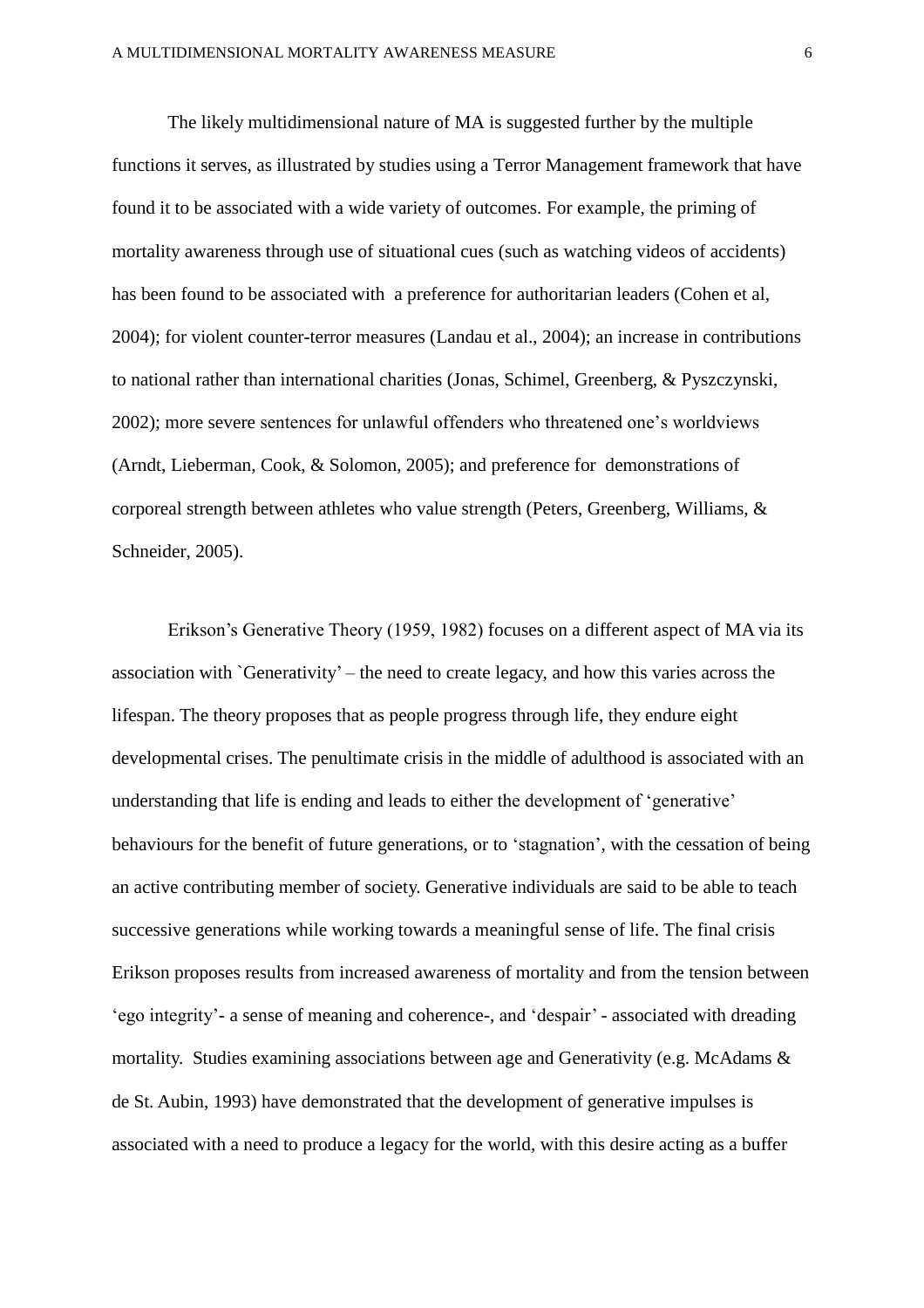The likely multidimensional nature of MA is suggested further by the multiple functions it serves, as illustrated by studies using a Terror Management framework that have found it to be associated with a wide variety of outcomes. For example, the priming of mortality awareness through use of situational cues (such as watching videos of accidents) has been found to be associated with a preference for authoritarian leaders (Cohen et al, 2004); for violent counter-terror measures (Landau et al., 2004); an increase in contributions to national rather than international charities (Jonas, Schimel, Greenberg, & Pyszczynski, 2002); more severe sentences for unlawful offenders who threatened one's worldviews (Arndt, Lieberman, Cook, & Solomon, 2005); and preference for demonstrations of corporeal strength between athletes who value strength (Peters, Greenberg, Williams, & Schneider, 2005).

Erikson's Generative Theory (1959, 1982) focuses on a different aspect of MA via its association with `Generativity' – the need to create legacy, and how this varies across the lifespan. The theory proposes that as people progress through life, they endure eight developmental crises. The penultimate crisis in the middle of adulthood is associated with an understanding that life is ending and leads to either the development of 'generative' behaviours for the benefit of future generations, or to 'stagnation', with the cessation of being an active contributing member of society. Generative individuals are said to be able to teach successive generations while working towards a meaningful sense of life. The final crisis Erikson proposes results from increased awareness of mortality and from the tension between 'ego integrity'- a sense of meaning and coherence-, and 'despair' - associated with dreading mortality. Studies examining associations between age and Generativity (e.g. McAdams  $\&$ de St. Aubin, 1993) have demonstrated that the development of generative impulses is associated with a need to produce a legacy for the world, with this desire acting as a buffer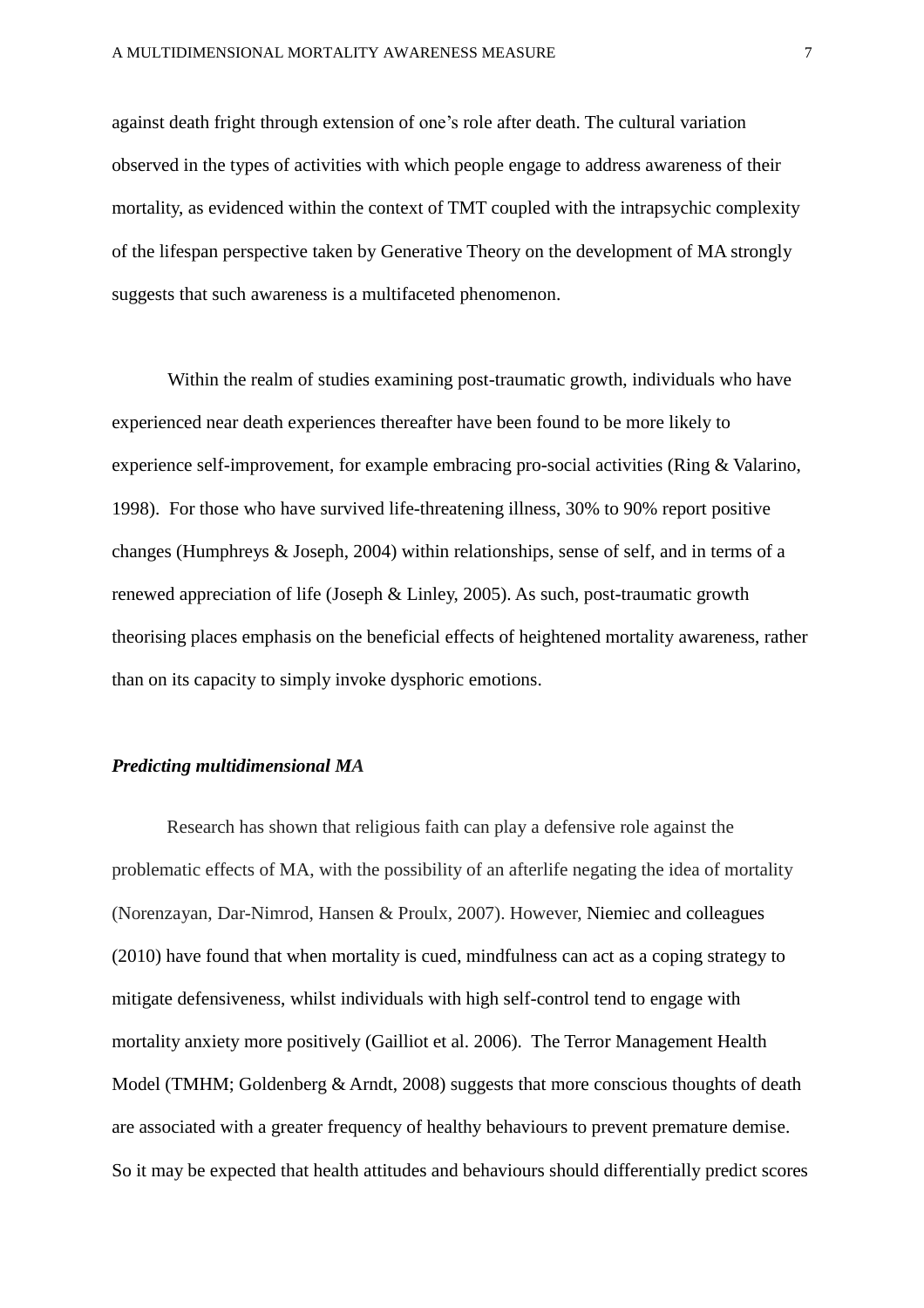against death fright through extension of one's role after death. The cultural variation observed in the types of activities with which people engage to address awareness of their mortality, as evidenced within the context of TMT coupled with the intrapsychic complexity of the lifespan perspective taken by Generative Theory on the development of MA strongly suggests that such awareness is a multifaceted phenomenon.

Within the realm of studies examining post-traumatic growth, individuals who have experienced near death experiences thereafter have been found to be more likely to experience self-improvement, for example embracing pro-social activities (Ring & Valarino, 1998). For those who have survived life-threatening illness, 30% to 90% report positive changes (Humphreys & Joseph, 2004) within relationships, sense of self, and in terms of a renewed appreciation of life (Joseph & Linley, 2005). As such, post-traumatic growth theorising places emphasis on the beneficial effects of heightened mortality awareness, rather than on its capacity to simply invoke dysphoric emotions.

## *Predicting multidimensional MA*

Research has shown that religious faith can play a defensive role against the problematic effects of MA, with the possibility of an afterlife negating the idea of mortality (Norenzayan, Dar-Nimrod, Hansen & Proulx, 2007). However, Niemiec and colleagues (2010) have found that when mortality is cued, mindfulness can act as a coping strategy to mitigate defensiveness, whilst individuals with high self-control tend to engage with mortality anxiety more positively (Gailliot et al. 2006). The Terror Management Health Model (TMHM; Goldenberg & Arndt, 2008) suggests that more conscious thoughts of death are associated with a greater frequency of healthy behaviours to prevent premature demise. So it may be expected that health attitudes and behaviours should differentially predict scores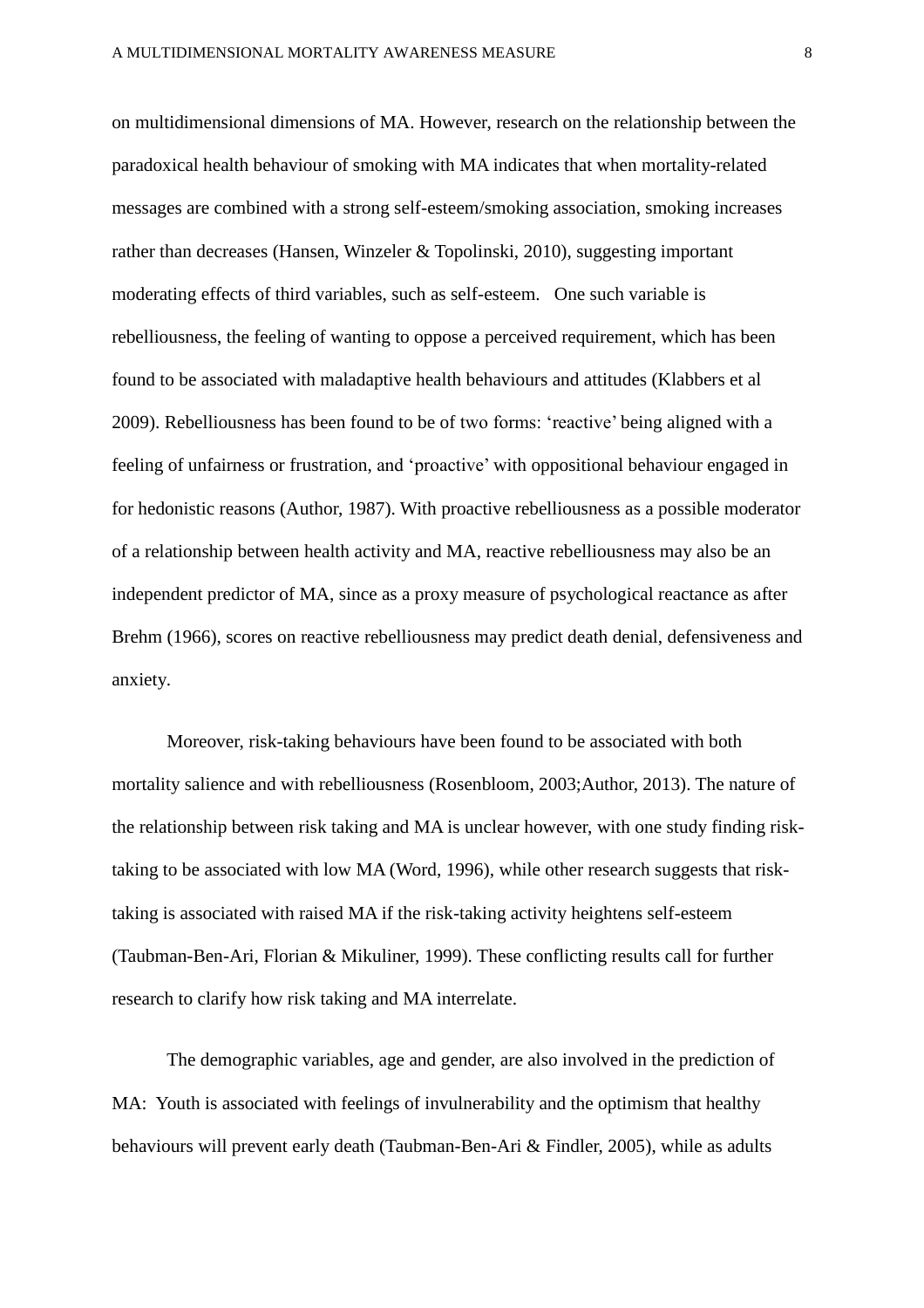on multidimensional dimensions of MA. However, research on the relationship between the paradoxical health behaviour of smoking with MA indicates that when mortality-related messages are combined with a strong self-esteem/smoking association, smoking increases rather than decreases (Hansen, Winzeler & Topolinski, 2010), suggesting important moderating effects of third variables, such as self-esteem. One such variable is rebelliousness, the feeling of wanting to oppose a perceived requirement, which has been found to be associated with maladaptive health behaviours and attitudes (Klabbers et al 2009). Rebelliousness has been found to be of two forms: 'reactive' being aligned with a feeling of unfairness or frustration, and 'proactive' with oppositional behaviour engaged in for hedonistic reasons (Author, 1987). With proactive rebelliousness as a possible moderator of a relationship between health activity and MA, reactive rebelliousness may also be an independent predictor of MA, since as a proxy measure of psychological reactance as after Brehm (1966), scores on reactive rebelliousness may predict death denial, defensiveness and anxiety.

Moreover, risk-taking behaviours have been found to be associated with both mortality salience and with rebelliousness (Rosenbloom, 2003;Author, 2013). The nature of the relationship between risk taking and MA is unclear however, with one study finding risktaking to be associated with low MA (Word, 1996), while other research suggests that risktaking is associated with raised MA if the risk-taking activity heightens self-esteem (Taubman-Ben-Ari, Florian & Mikuliner, 1999). These conflicting results call for further research to clarify how risk taking and MA interrelate.

The demographic variables, age and gender, are also involved in the prediction of MA: Youth is associated with feelings of invulnerability and the optimism that healthy behaviours will prevent early death (Taubman-Ben-Ari & Findler, 2005), while as adults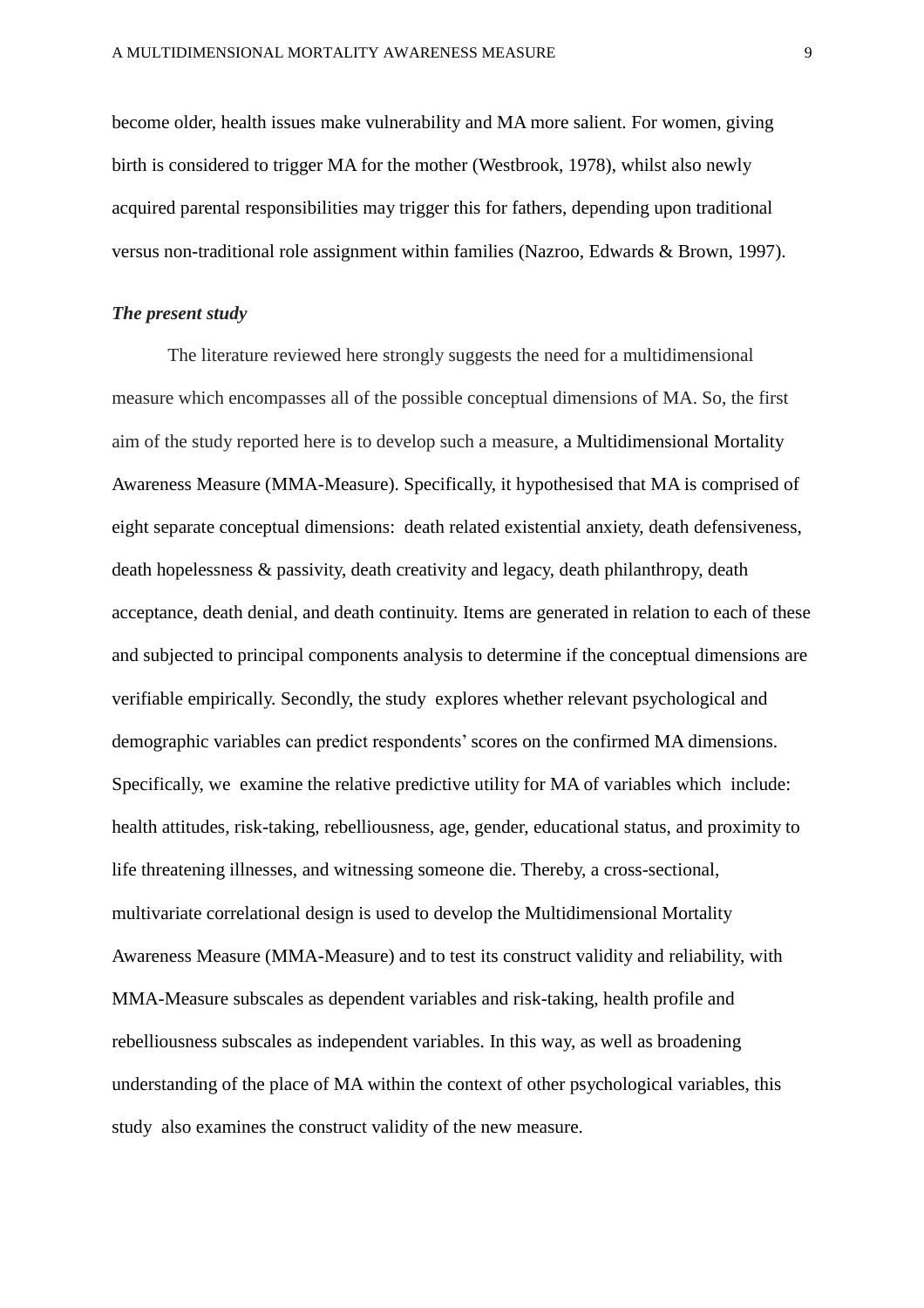become older, health issues make vulnerability and MA more salient. For women, giving birth is considered to trigger MA for the mother (Westbrook, 1978), whilst also newly acquired parental responsibilities may trigger this for fathers, depending upon traditional versus non-traditional role assignment within families (Nazroo, Edwards & Brown, 1997).

#### *The present study*

The literature reviewed here strongly suggests the need for a multidimensional measure which encompasses all of the possible conceptual dimensions of MA. So, the first aim of the study reported here is to develop such a measure, a Multidimensional Mortality Awareness Measure (MMA-Measure). Specifically, it hypothesised that MA is comprised of eight separate conceptual dimensions: death related existential anxiety, death defensiveness, death hopelessness & passivity, death creativity and legacy, death philanthropy, death acceptance, death denial, and death continuity. Items are generated in relation to each of these and subjected to principal components analysis to determine if the conceptual dimensions are verifiable empirically. Secondly, the study explores whether relevant psychological and demographic variables can predict respondents'scores on the confirmed MA dimensions. Specifically, we examine the relative predictive utility for MA of variables which include: health attitudes, risk-taking, rebelliousness, age, gender, educational status, and proximity to life threatening illnesses, and witnessing someone die. Thereby, a cross-sectional, multivariate correlational design is used to develop the Multidimensional Mortality Awareness Measure (MMA-Measure) and to test its construct validity and reliability, with MMA-Measure subscales as dependent variables and risk-taking, health profile and rebelliousness subscales as independent variables. In this way, as well as broadening understanding of the place of MA within the context of other psychological variables, this study also examines the construct validity of the new measure.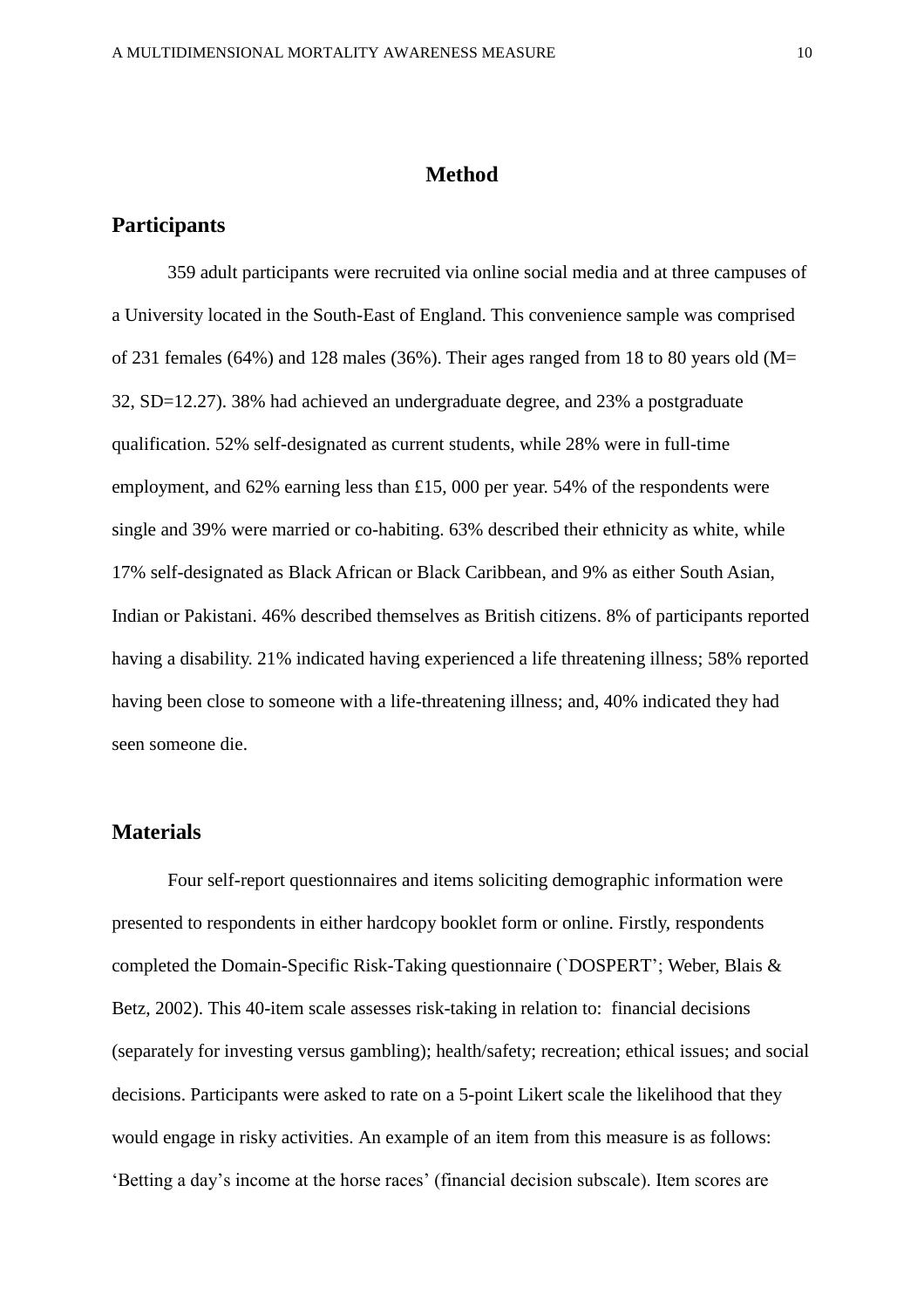## **Method**

## **Participants**

359 adult participants were recruited via online social media and at three campuses of a University located in the South-East of England. This convenience sample was comprised of 231 females (64%) and 128 males (36%). Their ages ranged from 18 to 80 years old ( $M=$ 32, SD=12.27). 38% had achieved an undergraduate degree, and 23% a postgraduate qualification. 52% self-designated as current students, while 28% were in full-time employment, and 62% earning less than £15, 000 per year. 54% of the respondents were single and 39% were married or co-habiting. 63% described their ethnicity as white, while 17% self-designated as Black African or Black Caribbean, and 9% as either South Asian, Indian or Pakistani. 46% described themselves as British citizens. 8% of participants reported having a disability. 21% indicated having experienced a life threatening illness; 58% reported having been close to someone with a life-threatening illness; and, 40% indicated they had seen someone die.

## **Materials**

Four self-report questionnaires and items soliciting demographic information were presented to respondents in either hardcopy booklet form or online. Firstly, respondents completed the Domain-Specific Risk-Taking questionnaire (`DOSPERT'; Weber, Blais & Betz, 2002). This 40-item scale assesses risk-taking in relation to: financial decisions (separately for investing versus gambling); health/safety; recreation; ethical issues; and social decisions. Participants were asked to rate on a 5-point Likert scale the likelihood that they would engage in risky activities. An example of an item from this measure is as follows: 'Betting a day's income at the horse races' (financial decision subscale). Item scores are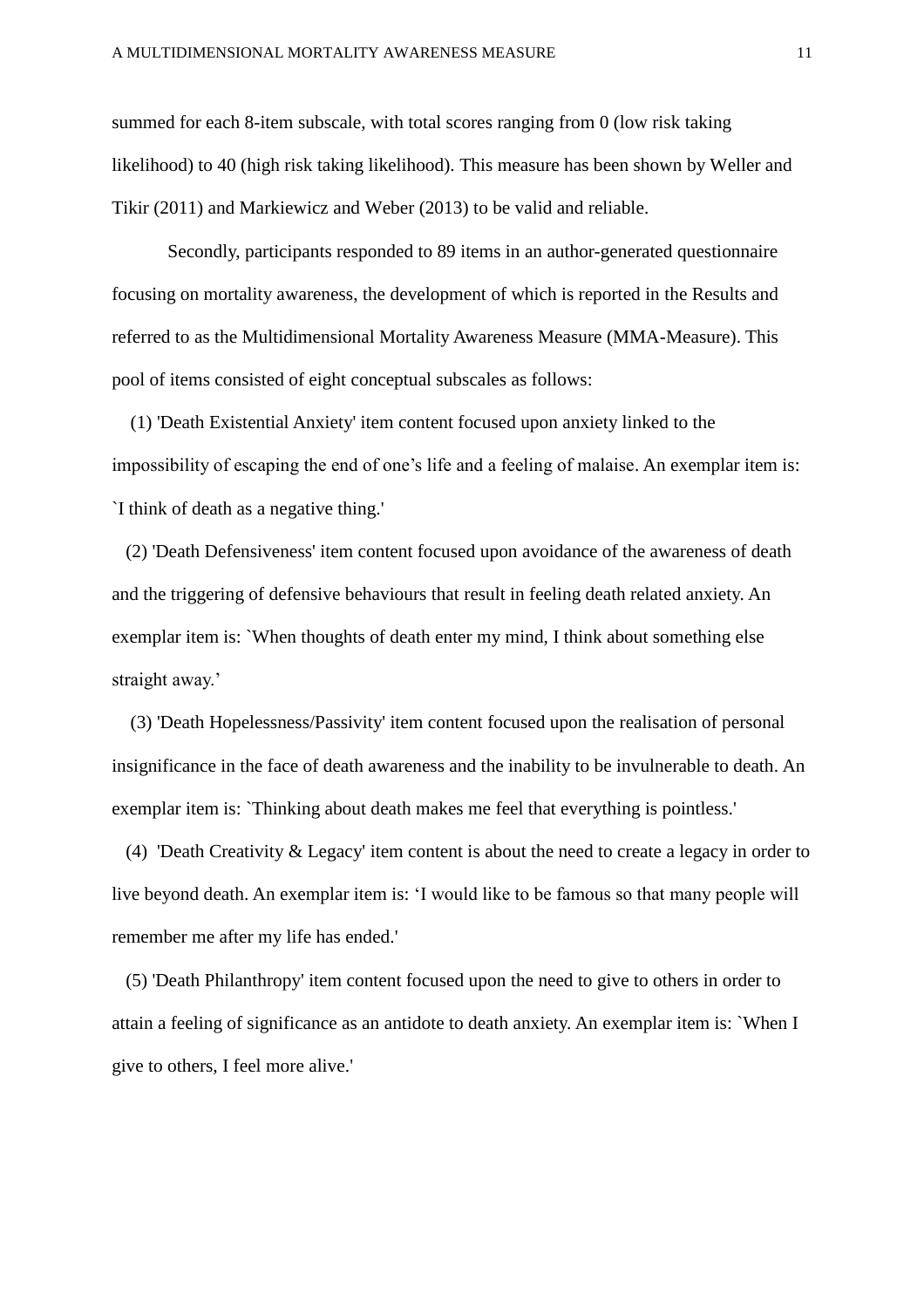summed for each 8-item subscale, with total scores ranging from 0 (low risk taking likelihood) to 40 (high risk taking likelihood). This measure has been shown by Weller and Tikir (2011) and Markiewicz and Weber (2013) to be valid and reliable.

Secondly, participants responded to 89 items in an author-generated questionnaire focusing on mortality awareness, the development of which is reported in the Results and referred to as the Multidimensional Mortality Awareness Measure (MMA-Measure). This pool of items consisted of eight conceptual subscales as follows:

 (1) 'Death Existential Anxiety' item content focused upon anxiety linked to the impossibility of escaping the end of one's life and a feeling of malaise. An exemplar item is: `I think of death as a negative thing.'

 (2) 'Death Defensiveness' item content focused upon avoidance of the awareness of death and the triggering of defensive behaviours that result in feeling death related anxiety. An exemplar item is: `When thoughts of death enter my mind, I think about something else straight away.'

 (3) 'Death Hopelessness/Passivity' item content focused upon the realisation of personal insignificance in the face of death awareness and the inability to be invulnerable to death. An exemplar item is: `Thinking about death makes me feel that everything is pointless.'

 (4) 'Death Creativity & Legacy' item content is about the need to create a legacy in order to live beyond death. An exemplar item is: 'I would like to be famous so that many people will remember me after my life has ended.'

 (5) 'Death Philanthropy' item content focused upon the need to give to others in order to attain a feeling of significance as an antidote to death anxiety. An exemplar item is: `When I give to others, I feel more alive.'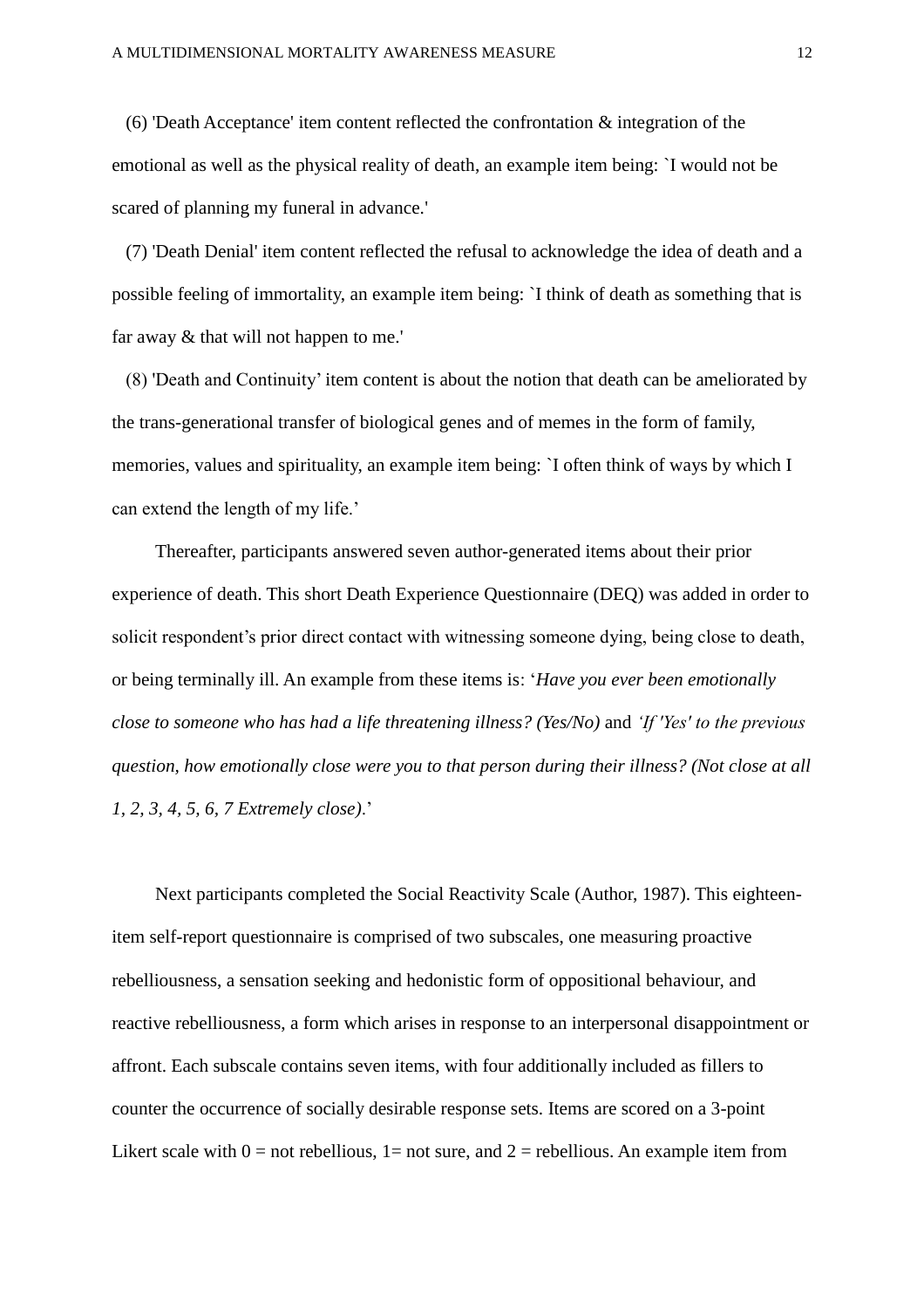(6) 'Death Acceptance' item content reflected the confrontation  $\&$  integration of the emotional as well as the physical reality of death, an example item being: `I would not be scared of planning my funeral in advance.'

 (7) 'Death Denial' item content reflected the refusal to acknowledge the idea of death and a possible feeling of immortality, an example item being: `I think of death as something that is far away & that will not happen to me.'

 (8) 'Death and Continuity' item content is about the notion that death can be ameliorated by the trans-generational transfer of biological genes and of memes in the form of family, memories, values and spirituality, an example item being: `I often think of ways by which I can extend the length of my life.'

Thereafter, participants answered seven author-generated items about their prior experience of death. This short Death Experience Questionnaire (DEQ) was added in order to solicit respondent's prior direct contact with witnessing someone dying, being close to death, or being terminally ill. An example from these items is: '*Have you ever been emotionally close to someone who has had a life threatening illness? (Yes/No)* and *'If 'Yes' to the previous question, how emotionally close were you to that person during their illness? (Not close at all 1, 2, 3, 4, 5, 6, 7 Extremely close)*.'

Next participants completed the Social Reactivity Scale (Author, 1987). This eighteenitem self-report questionnaire is comprised of two subscales, one measuring proactive rebelliousness, a sensation seeking and hedonistic form of oppositional behaviour, and reactive rebelliousness, a form which arises in response to an interpersonal disappointment or affront. Each subscale contains seven items, with four additionally included as fillers to counter the occurrence of socially desirable response sets. Items are scored on a 3-point Likert scale with  $0 =$  not rebellious,  $1 =$  not sure, and  $2 =$  rebellious. An example item from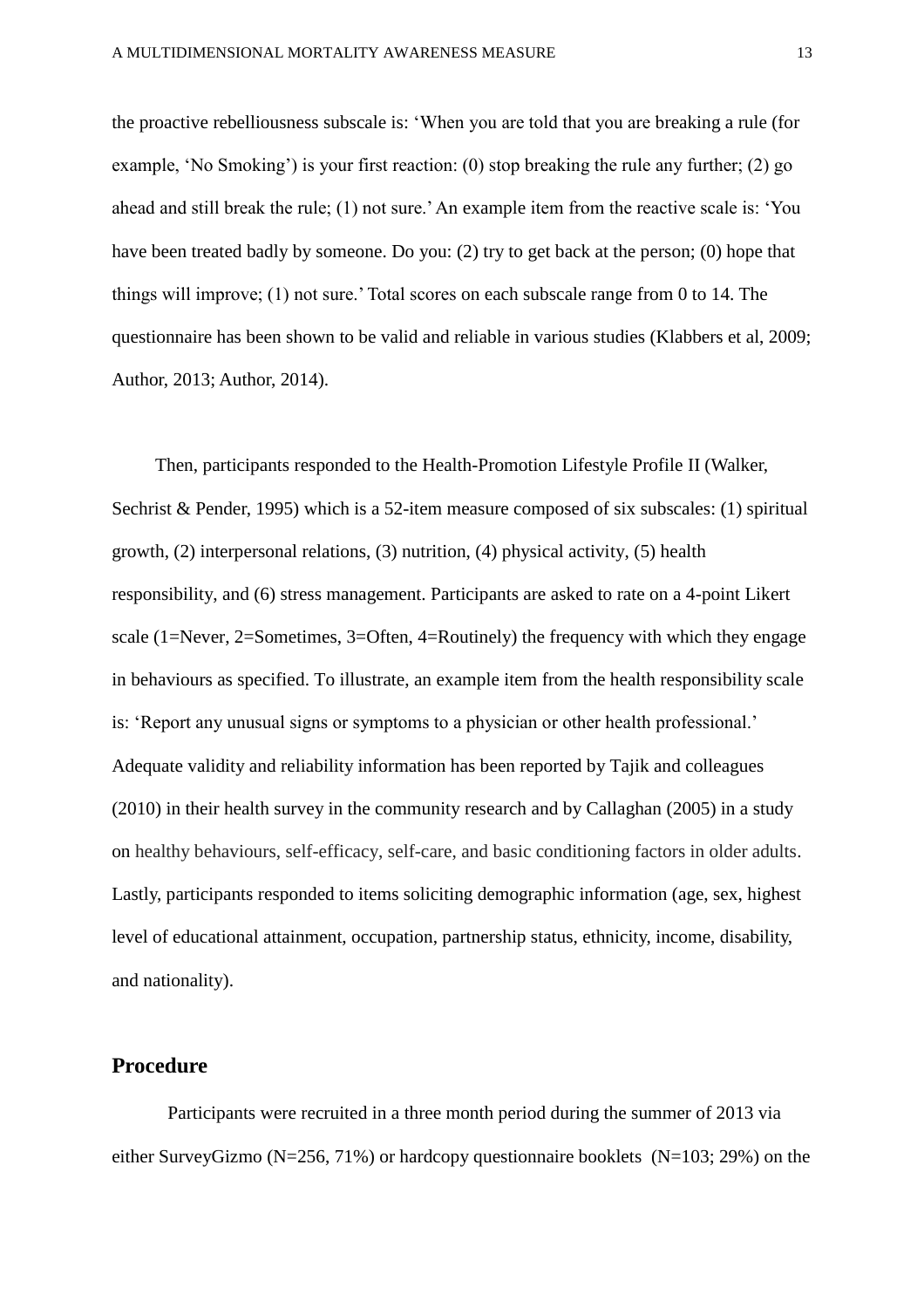the proactive rebelliousness subscale is: 'When you are told that you are breaking a rule (for example, 'No Smoking') is your first reaction: (0) stop breaking the rule any further; (2) go ahead and still break the rule; (1) not sure.' An example item from the reactive scale is: 'You have been treated badly by someone. Do you: (2) try to get back at the person; (0) hope that things will improve; (1) not sure.' Total scores on each subscale range from 0 to 14. The questionnaire has been shown to be valid and reliable in various studies (Klabbers et al, 2009; Author, 2013; Author, 2014).

Then, participants responded to the Health-Promotion Lifestyle Profile II (Walker, Sechrist & Pender, 1995) which is a 52-item measure composed of six subscales: (1) spiritual growth, (2) interpersonal relations, (3) nutrition, (4) physical activity, (5) health responsibility, and (6) stress management. Participants are asked to rate on a 4-point Likert scale (1=Never, 2=Sometimes, 3=Often, 4=Routinely) the frequency with which they engage in behaviours as specified. To illustrate, an example item from the health responsibility scale is: 'Report any unusual signs or symptoms to a physician or other health professional.' Adequate validity and reliability information has been reported by Tajik and colleagues (2010) in their health survey in the community research and by Callaghan (2005) in a study on healthy behaviours, self-efficacy, self-care, and basic conditioning factors in older adults. Lastly, participants responded to items soliciting demographic information (age, sex, highest level of educational attainment, occupation, partnership status, ethnicity, income, disability, and nationality).

## **Procedure**

Participants were recruited in a three month period during the summer of 2013 via either SurveyGizmo (N=256, 71%) or hardcopy questionnaire booklets (N=103; 29%) on the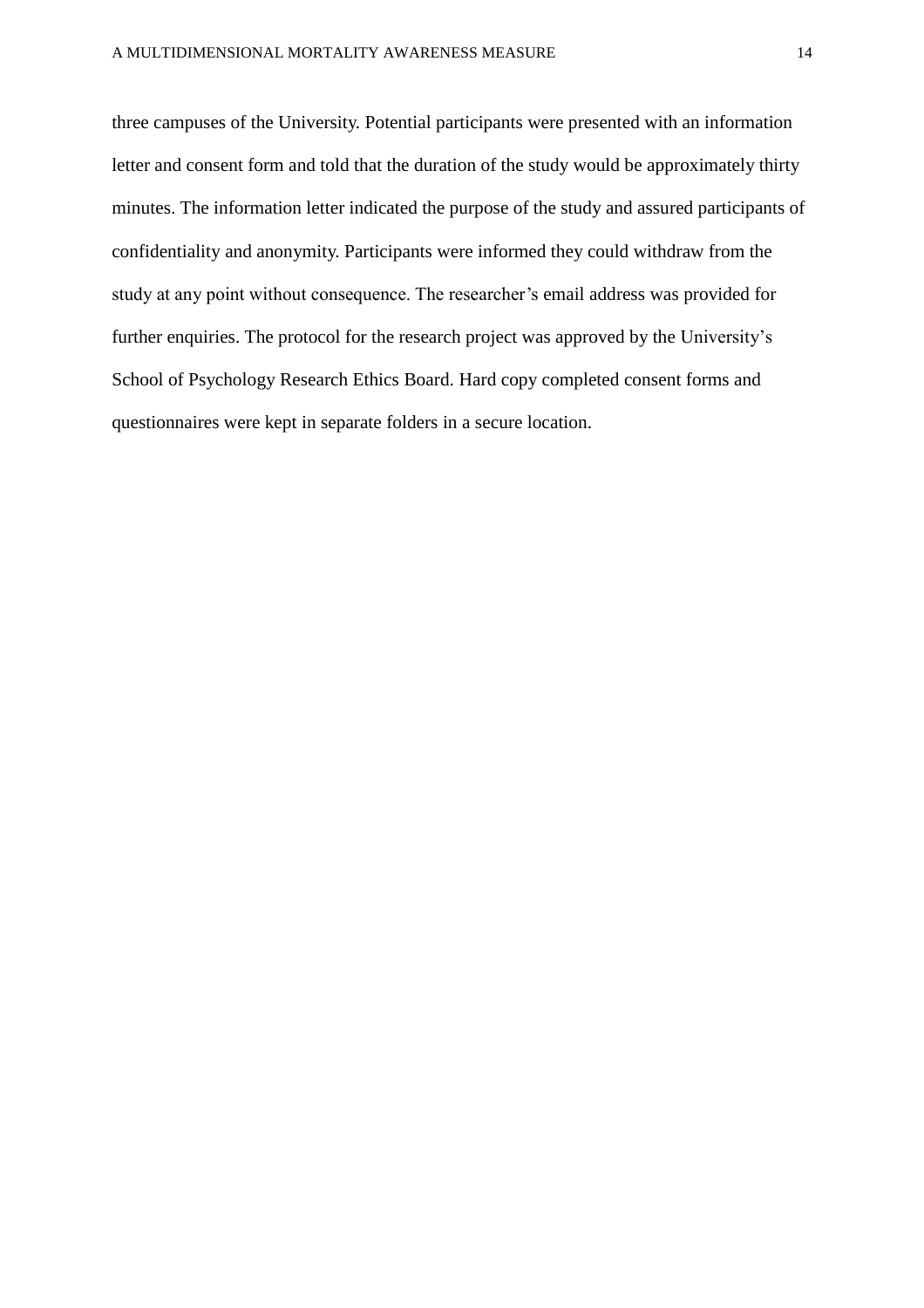three campuses of the University. Potential participants were presented with an information letter and consent form and told that the duration of the study would be approximately thirty minutes. The information letter indicated the purpose of the study and assured participants of confidentiality and anonymity. Participants were informed they could withdraw from the study at any point without consequence. The researcher's email address was provided for further enquiries. The protocol for the research project was approved by the University's School of Psychology Research Ethics Board. Hard copy completed consent forms and questionnaires were kept in separate folders in a secure location.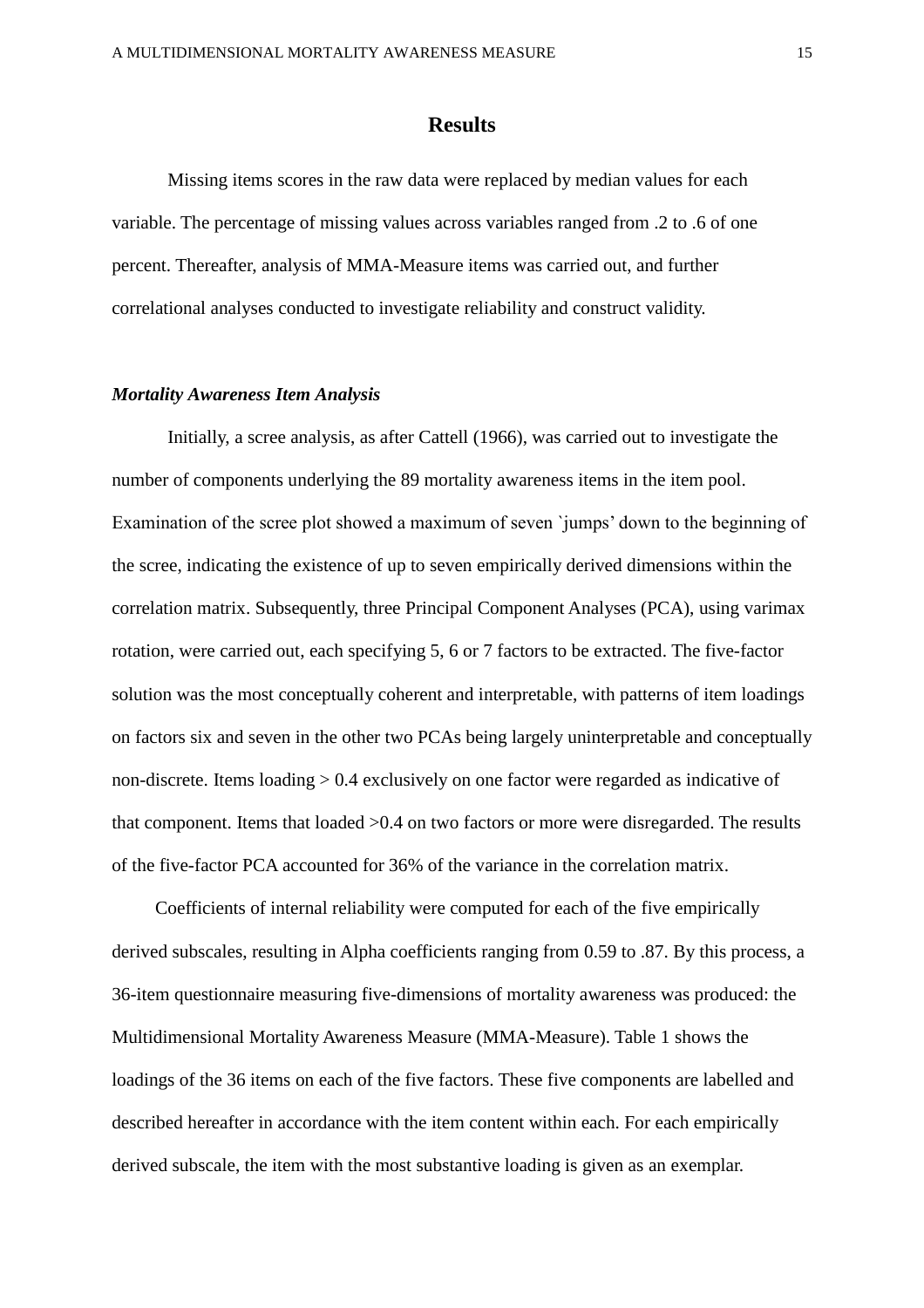## **Results**

Missing items scores in the raw data were replaced by median values for each variable. The percentage of missing values across variables ranged from .2 to .6 of one percent. Thereafter, analysis of MMA-Measure items was carried out, and further correlational analyses conducted to investigate reliability and construct validity.

#### *Mortality Awareness Item Analysis*

Initially, a scree analysis, as after Cattell (1966), was carried out to investigate the number of components underlying the 89 mortality awareness items in the item pool. Examination of the scree plot showed a maximum of seven `jumps' down to the beginning of the scree, indicating the existence of up to seven empirically derived dimensions within the correlation matrix. Subsequently, three Principal Component Analyses (PCA), using varimax rotation, were carried out, each specifying 5, 6 or 7 factors to be extracted. The five-factor solution was the most conceptually coherent and interpretable, with patterns of item loadings on factors six and seven in the other two PCAs being largely uninterpretable and conceptually non-discrete. Items loading > 0.4 exclusively on one factor were regarded as indicative of that component. Items that loaded >0.4 on two factors or more were disregarded. The results of the five-factor PCA accounted for 36% of the variance in the correlation matrix.

Coefficients of internal reliability were computed for each of the five empirically derived subscales, resulting in Alpha coefficients ranging from 0.59 to .87. By this process, a 36-item questionnaire measuring five-dimensions of mortality awareness was produced: the Multidimensional Mortality Awareness Measure (MMA-Measure). Table 1 shows the loadings of the 36 items on each of the five factors. These five components are labelled and described hereafter in accordance with the item content within each. For each empirically derived subscale, the item with the most substantive loading is given as an exemplar.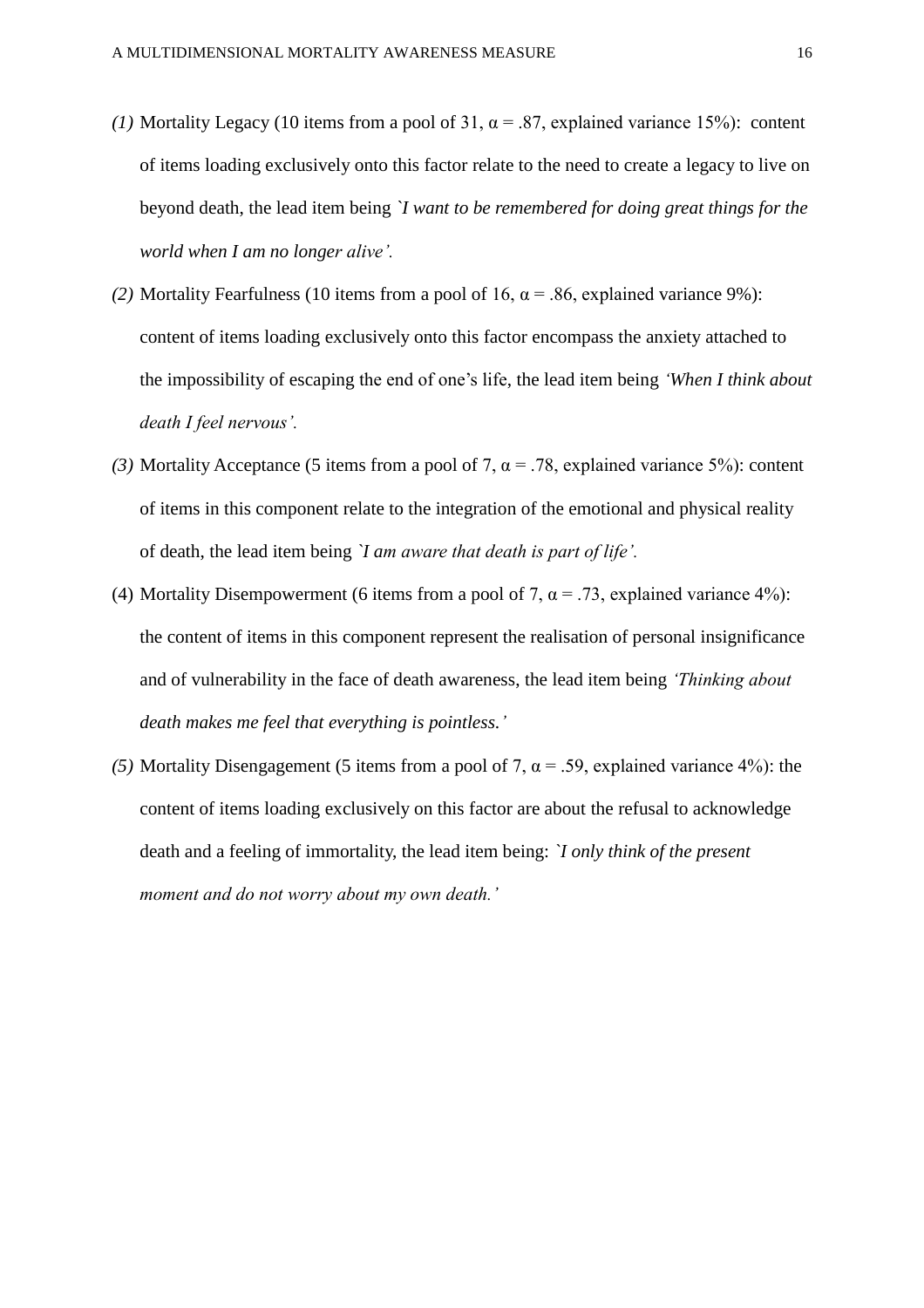- (1) Mortality Legacy (10 items from a pool of 31,  $\alpha$  = .87, explained variance 15%): content of items loading exclusively onto this factor relate to the need to create a legacy to live on beyond death, the lead item being *`I want to be remembered for doing great things for the world when I am no longer alive'.*
- *(2)* Mortality Fearfulness (10 items from a pool of 16,  $\alpha$  = .86, explained variance 9%): content of items loading exclusively onto this factor encompass the anxiety attached to the impossibility of escaping the end of one's life, the lead item being *'When I think about death I feel nervous'.*
- (3) Mortality Acceptance (5 items from a pool of 7,  $\alpha$  = .78, explained variance 5%): content of items in this component relate to the integration of the emotional and physical reality of death, the lead item being *`I am aware that death is part of life'.*
- (4) Mortality Disempowerment (6 items from a pool of 7,  $\alpha$  = .73, explained variance 4%): the content of items in this component represent the realisation of personal insignificance and of vulnerability in the face of death awareness, the lead item being *'Thinking about death makes me feel that everything is pointless.'*
- (5) Mortality Disengagement (5 items from a pool of 7,  $\alpha$  = .59, explained variance 4%): the content of items loading exclusively on this factor are about the refusal to acknowledge death and a feeling of immortality, the lead item being: *`I only think of the present moment and do not worry about my own death.'*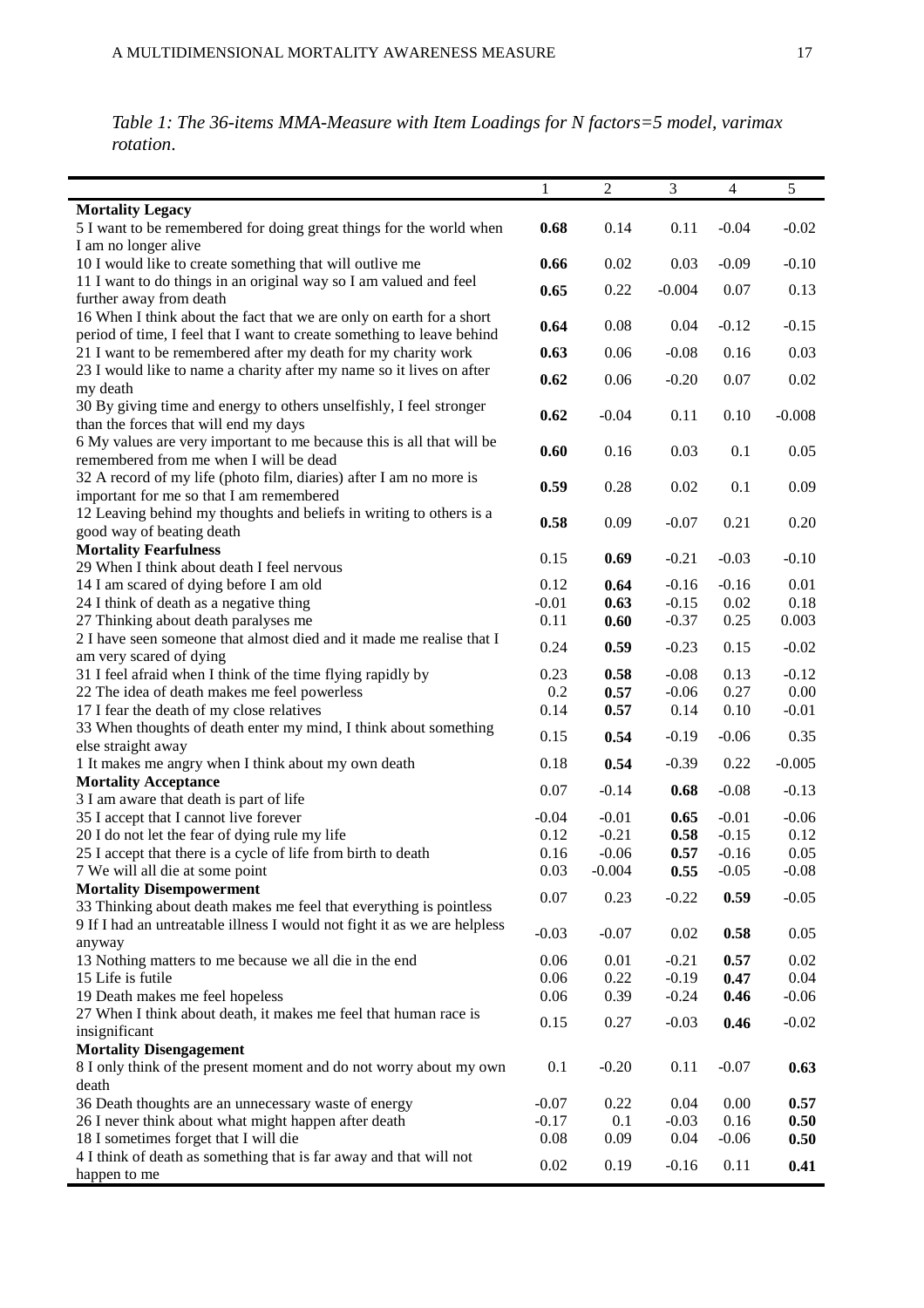*Table 1: The 36-items MMA-Measure with Item Loadings for N factors=5 model, varimax rotation*.

|                                                                           | 1       | 2        | 3        | $\overline{4}$ | 5        |
|---------------------------------------------------------------------------|---------|----------|----------|----------------|----------|
| <b>Mortality Legacy</b>                                                   |         |          |          |                |          |
| 5 I want to be remembered for doing great things for the world when       | 0.68    | 0.14     | 0.11     | $-0.04$        | $-0.02$  |
| I am no longer alive                                                      |         |          |          |                |          |
| 10 I would like to create something that will outlive me                  | 0.66    | 0.02     | 0.03     | $-0.09$        | $-0.10$  |
| 11 I want to do things in an original way so I am valued and feel         |         |          |          |                |          |
| further away from death                                                   | 0.65    | 0.22     | $-0.004$ | 0.07           | 0.13     |
| 16 When I think about the fact that we are only on earth for a short      |         |          |          |                |          |
| period of time, I feel that I want to create something to leave behind    | 0.64    | 0.08     | 0.04     | $-0.12$        | $-0.15$  |
| 21 I want to be remembered after my death for my charity work             | 0.63    | 0.06     | $-0.08$  | 0.16           | 0.03     |
| 23 I would like to name a charity after my name so it lives on after      | 0.62    |          |          |                |          |
| my death                                                                  |         | 0.06     | $-0.20$  | 0.07           | 0.02     |
| 30 By giving time and energy to others unselfishly, I feel stronger       | 0.62    | $-0.04$  | 0.11     | 0.10           | $-0.008$ |
| than the forces that will end my days                                     |         |          |          |                |          |
| 6 My values are very important to me because this is all that will be     | 0.60    | 0.16     | 0.03     | 0.1            | 0.05     |
| remembered from me when I will be dead                                    |         |          |          |                |          |
| 32 A record of my life (photo film, diaries) after I am no more is        | 0.59    | 0.28     | 0.02     | 0.1            | 0.09     |
| important for me so that I am remembered                                  |         |          |          |                |          |
| 12 Leaving behind my thoughts and beliefs in writing to others is a       | 0.58    | 0.09     | $-0.07$  | 0.21           | 0.20     |
| good way of beating death                                                 |         |          |          |                |          |
| <b>Mortality Fearfulness</b>                                              | 0.15    | 0.69     | $-0.21$  | $-0.03$        | $-0.10$  |
| 29 When I think about death I feel nervous                                |         |          |          |                |          |
| 14 I am scared of dying before I am old                                   | 0.12    | 0.64     | $-0.16$  | $-0.16$        | 0.01     |
| 24 I think of death as a negative thing                                   | $-0.01$ | 0.63     | $-0.15$  | 0.02           | 0.18     |
| 27 Thinking about death paralyses me                                      | 0.11    | 0.60     | $-0.37$  | 0.25           | 0.003    |
| 2 I have seen someone that almost died and it made me realise that I      | 0.24    | 0.59     | $-0.23$  | 0.15           | $-0.02$  |
| am very scared of dying                                                   |         |          |          |                |          |
| 31 I feel afraid when I think of the time flying rapidly by               | 0.23    | 0.58     | $-0.08$  | 0.13           | $-0.12$  |
| 22 The idea of death makes me feel powerless                              | 0.2     | 0.57     | $-0.06$  | 0.27           | 0.00     |
| 17 I fear the death of my close relatives                                 | 0.14    | 0.57     | 0.14     | 0.10           | $-0.01$  |
| 33 When thoughts of death enter my mind, I think about something          | 0.15    | 0.54     | $-0.19$  | $-0.06$        | 0.35     |
| else straight away                                                        |         |          |          |                |          |
| 1 It makes me angry when I think about my own death                       | 0.18    | 0.54     | $-0.39$  | 0.22           | $-0.005$ |
| <b>Mortality Acceptance</b>                                               | 0.07    | $-0.14$  | 0.68     | $-0.08$        | $-0.13$  |
| 3 I am aware that death is part of life                                   |         |          |          |                |          |
| 35 I accept that I cannot live forever                                    | $-0.04$ | $-0.01$  | 0.65     | $-0.01$        | $-0.06$  |
| 20 I do not let the fear of dying rule my life                            | 0.12    | $-0.21$  | 0.58     | $-0.15$        | 0.12     |
| 25 I accept that there is a cycle of life from birth to death             | 0.16    | $-0.06$  | 0.57     | $-0.16$        | 0.05     |
| 7 We will all die at some point                                           | 0.03    | $-0.004$ | 0.55     | $-0.05$        | $-0.08$  |
| <b>Mortality Disempowerment</b>                                           | 0.07    | 0.23     | $-0.22$  | 0.59           | $-0.05$  |
| 33 Thinking about death makes me feel that everything is pointless        |         |          |          |                |          |
| 9 If I had an untreatable illness I would not fight it as we are helpless | $-0.03$ | $-0.07$  | 0.02     | 0.58           | 0.05     |
| anyway                                                                    |         |          |          |                |          |
| 13 Nothing matters to me because we all die in the end                    | 0.06    | 0.01     | $-0.21$  | 0.57           | $0.02\,$ |
| 15 Life is futile                                                         | 0.06    | 0.22     | $-0.19$  | 0.47           | 0.04     |
| 19 Death makes me feel hopeless                                           | 0.06    | 0.39     | $-0.24$  | 0.46           | $-0.06$  |
| 27 When I think about death, it makes me feel that human race is          | 0.15    | 0.27     | $-0.03$  | 0.46           | $-0.02$  |
| insignificant                                                             |         |          |          |                |          |
| <b>Mortality Disengagement</b>                                            |         |          |          |                |          |
| 8 I only think of the present moment and do not worry about my own        | 0.1     | $-0.20$  | 0.11     | $-0.07$        | 0.63     |
| death                                                                     |         |          |          |                |          |
| 36 Death thoughts are an unnecessary waste of energy                      | $-0.07$ | 0.22     | 0.04     | 0.00           | 0.57     |
| 26 I never think about what might happen after death                      | $-0.17$ | 0.1      | $-0.03$  | 0.16           | 0.50     |
| 18 I sometimes forget that I will die                                     | 0.08    | 0.09     | 0.04     | $-0.06$        | 0.50     |
| 4 I think of death as something that is far away and that will not        | 0.02    | 0.19     | $-0.16$  | 0.11           | 0.41     |
| happen to me                                                              |         |          |          |                |          |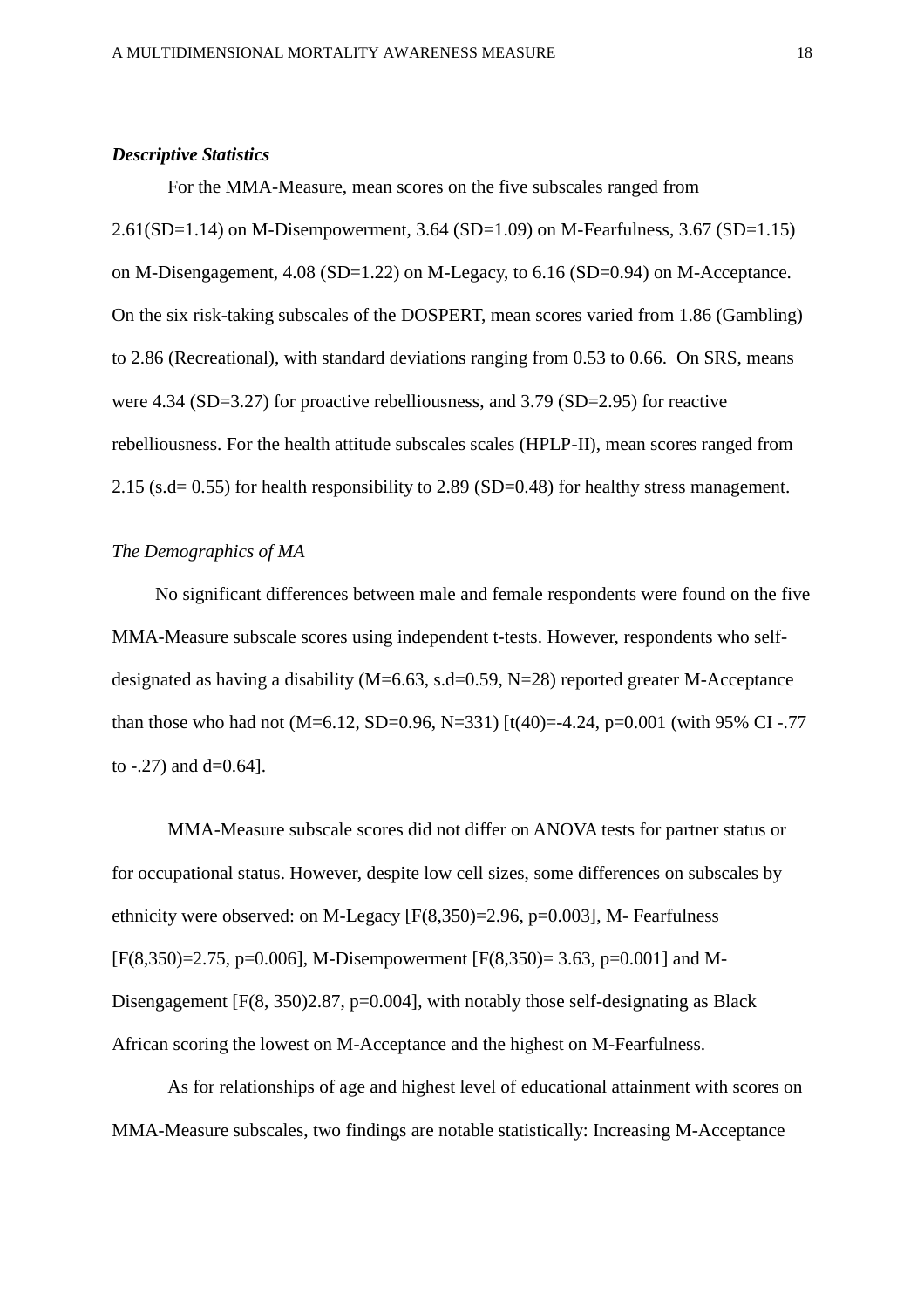#### *Descriptive Statistics*

For the MMA-Measure, mean scores on the five subscales ranged from 2.61(SD=1.14) on M-Disempowerment, 3.64 (SD=1.09) on M-Fearfulness, 3.67 (SD=1.15) on M-Disengagement, 4.08 (SD=1.22) on M-Legacy, to 6.16 (SD=0.94) on M-Acceptance. On the six risk-taking subscales of the DOSPERT, mean scores varied from 1.86 (Gambling) to 2.86 (Recreational), with standard deviations ranging from 0.53 to 0.66. On SRS, means were 4.34 (SD=3.27) for proactive rebelliousness, and 3.79 (SD=2.95) for reactive rebelliousness. For the health attitude subscales scales (HPLP-II), mean scores ranged from 2.15 (s.d= 0.55) for health responsibility to 2.89 (SD=0.48) for healthy stress management.

## *The Demographics of MA*

No significant differences between male and female respondents were found on the five MMA-Measure subscale scores using independent t-tests. However, respondents who selfdesignated as having a disability (M=6.63, s.d=0.59, N=28) reported greater M-Acceptance than those who had not (M=6.12, SD=0.96, N=331) [t(40)=-4.24, p=0.001 (with 95% CI -.77 to  $-.27$ ) and d=0.64].

MMA-Measure subscale scores did not differ on ANOVA tests for partner status or for occupational status. However, despite low cell sizes, some differences on subscales by ethnicity were observed: on M-Legacy [F(8,350)=2.96, p=0.003], M- Fearfulness  $[F(8,350)=2.75, p=0.006]$ , M-Disempowerment  $[F(8,350)=3.63, p=0.001]$  and M-Disengagement [F(8, 350)2.87, p=0.004], with notably those self-designating as Black African scoring the lowest on M-Acceptance and the highest on M-Fearfulness.

As for relationships of age and highest level of educational attainment with scores on MMA-Measure subscales, two findings are notable statistically: Increasing M-Acceptance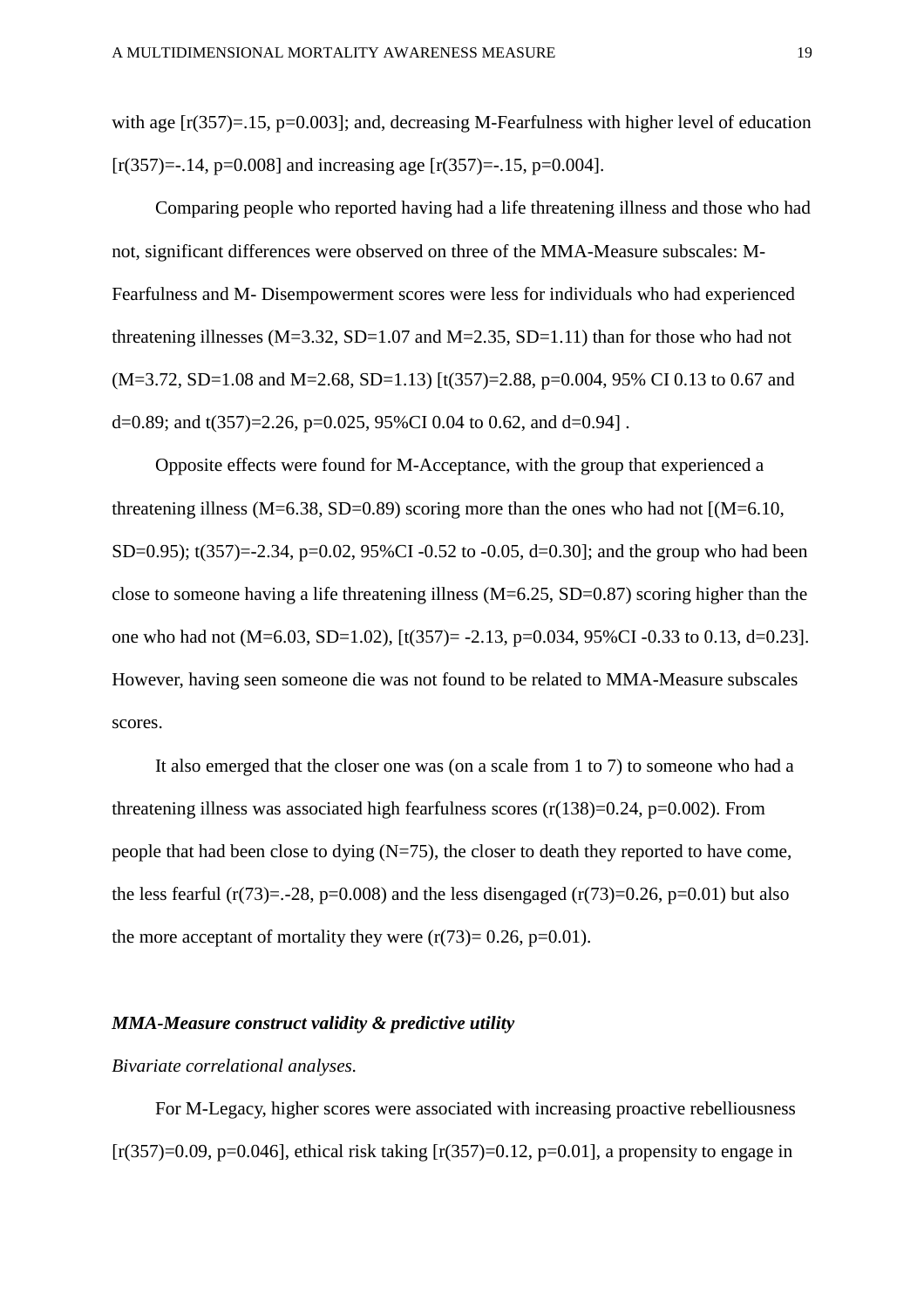with age  $[r(357)=15, p=0.003]$ ; and, decreasing M-Fearfulness with higher level of education  $[r(357)=14, p=0.008]$  and increasing age  $[r(357)=15, p=0.004]$ .

Comparing people who reported having had a life threatening illness and those who had not, significant differences were observed on three of the MMA-Measure subscales: M-Fearfulness and M- Disempowerment scores were less for individuals who had experienced threatening illnesses ( $M=3.32$ ,  $SD=1.07$  and  $M=2.35$ ,  $SD=1.11$ ) than for those who had not (M=3.72, SD=1.08 and M=2.68, SD=1.13) [t(357)=2.88, p=0.004, 95% CI 0.13 to 0.67 and d=0.89; and t(357)=2.26, p=0.025, 95%CI 0.04 to 0.62, and d=0.94].

Opposite effects were found for M-Acceptance, with the group that experienced a threatening illness (M=6.38, SD=0.89) scoring more than the ones who had not  $[(M=6.10,$ SD=0.95); t(357)=-2.34, p=0.02, 95%CI -0.52 to -0.05, d=0.30]; and the group who had been close to someone having a life threatening illness (M=6.25, SD=0.87) scoring higher than the one who had not (M=6.03, SD=1.02), [t(357)= -2.13, p=0.034, 95%CI -0.33 to 0.13, d=0.23]. However, having seen someone die was not found to be related to MMA-Measure subscales scores.

It also emerged that the closer one was (on a scale from 1 to 7) to someone who had a threatening illness was associated high fearfulness scores  $(r(138)=0.24, p=0.002)$ . From people that had been close to dying  $(N=75)$ , the closer to death they reported to have come, the less fearful (r(73)=.-28, p=0.008) and the less disengaged (r(73)=0.26, p=0.01) but also the more acceptant of mortality they were  $(r(73)=0.26, p=0.01)$ .

### *MMA-Measure construct validity & predictive utility*

## *Bivariate correlational analyses.*

For M-Legacy, higher scores were associated with increasing proactive rebelliousness  $[r(357)=0.09, p=0.046]$ , ethical risk taking  $[r(357)=0.12, p=0.01]$ , a propensity to engage in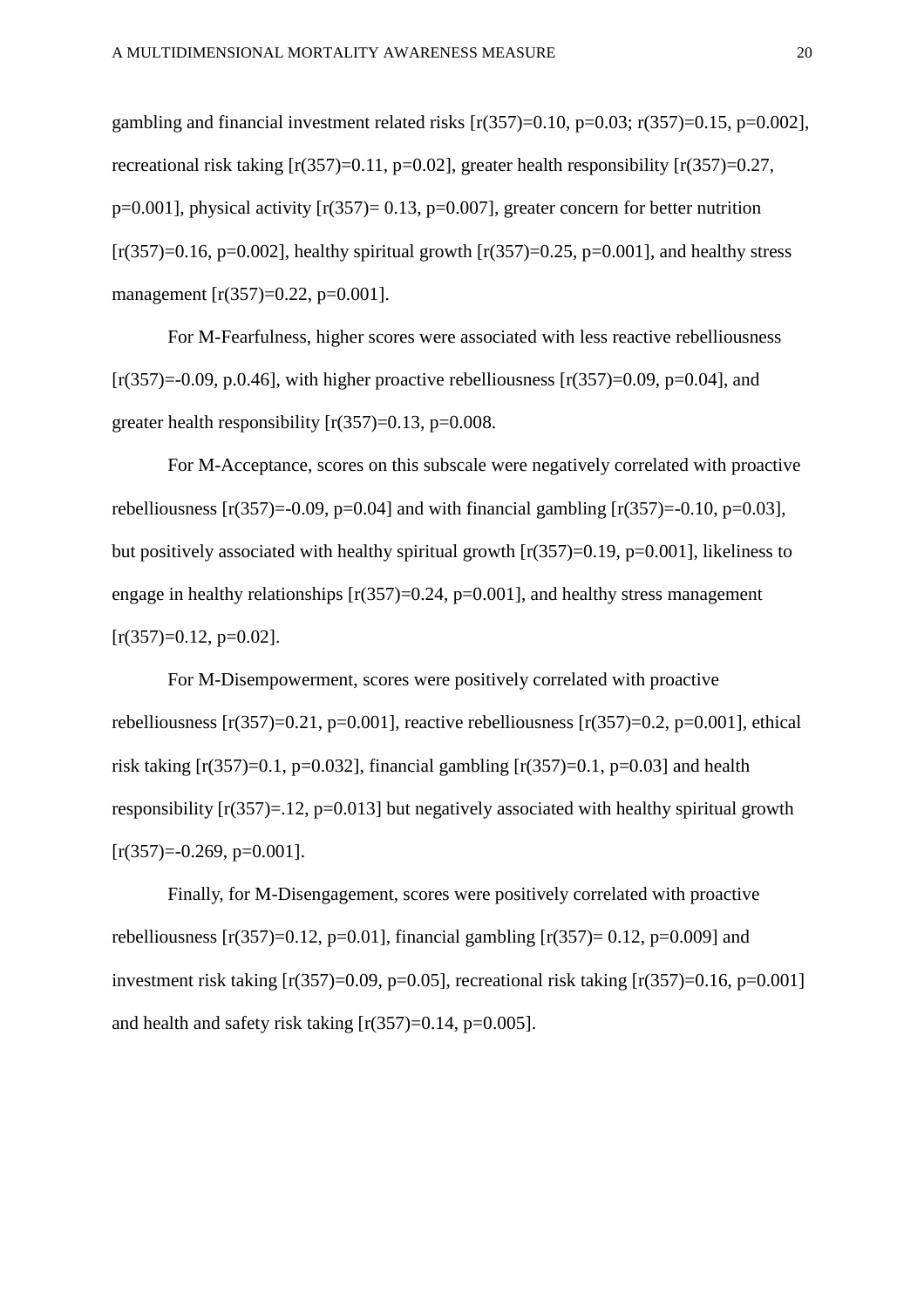gambling and financial investment related risks  $[r(357)=0.10, p=0.03; r(357)=0.15, p=0.002]$ , recreational risk taking  $[r(357)=0.11, p=0.02]$ , greater health responsibility  $[r(357)=0.27,$  $p=0.001$ , physical activity  $[r(357)=0.13, p=0.007]$ , greater concern for better nutrition  $[r(357)=0.16, p=0.002]$ , healthy spiritual growth  $[r(357)=0.25, p=0.001]$ , and healthy stress management [r(357)=0.22, p=0.001].

For M-Fearfulness, higher scores were associated with less reactive rebelliousness  $[r(357)=0.09, p.0.46]$ , with higher proactive rebelliousness  $[r(357)=0.09, p=0.04]$ , and greater health responsibility  $[r(357)=0.13, p=0.008$ .

For M-Acceptance, scores on this subscale were negatively correlated with proactive rebelliousness  $[r(357)=0.09, p=0.04]$  and with financial gambling  $[r(357)=0.10, p=0.03]$ , but positively associated with healthy spiritual growth  $[r(357)=0.19, p=0.001]$ , likeliness to engage in healthy relationships  $[r(357)=0.24, p=0.001]$ , and healthy stress management  $[r(357)=0.12, p=0.02]$ .

For M-Disempowerment, scores were positively correlated with proactive rebelliousness  $[r(357)=0.21, p=0.001]$ , reactive rebelliousness  $[r(357)=0.2, p=0.001]$ , ethical risk taking  $[r(357)=0.1, p=0.032]$ , financial gambling  $[r(357)=0.1, p=0.03]$  and health responsibility  $[r(357)=12, p=0.013]$  but negatively associated with healthy spiritual growth  $[r(357)=0.269, p=0.001]$ .

Finally, for M-Disengagement, scores were positively correlated with proactive rebelliousness  $[r(357)=0.12, p=0.01]$ , financial gambling  $[r(357)=0.12, p=0.009]$  and investment risk taking  $[r(357)=0.09, p=0.05]$ , recreational risk taking  $[r(357)=0.16, p=0.001]$ and health and safety risk taking  $[r(357)=0.14, p=0.005]$ .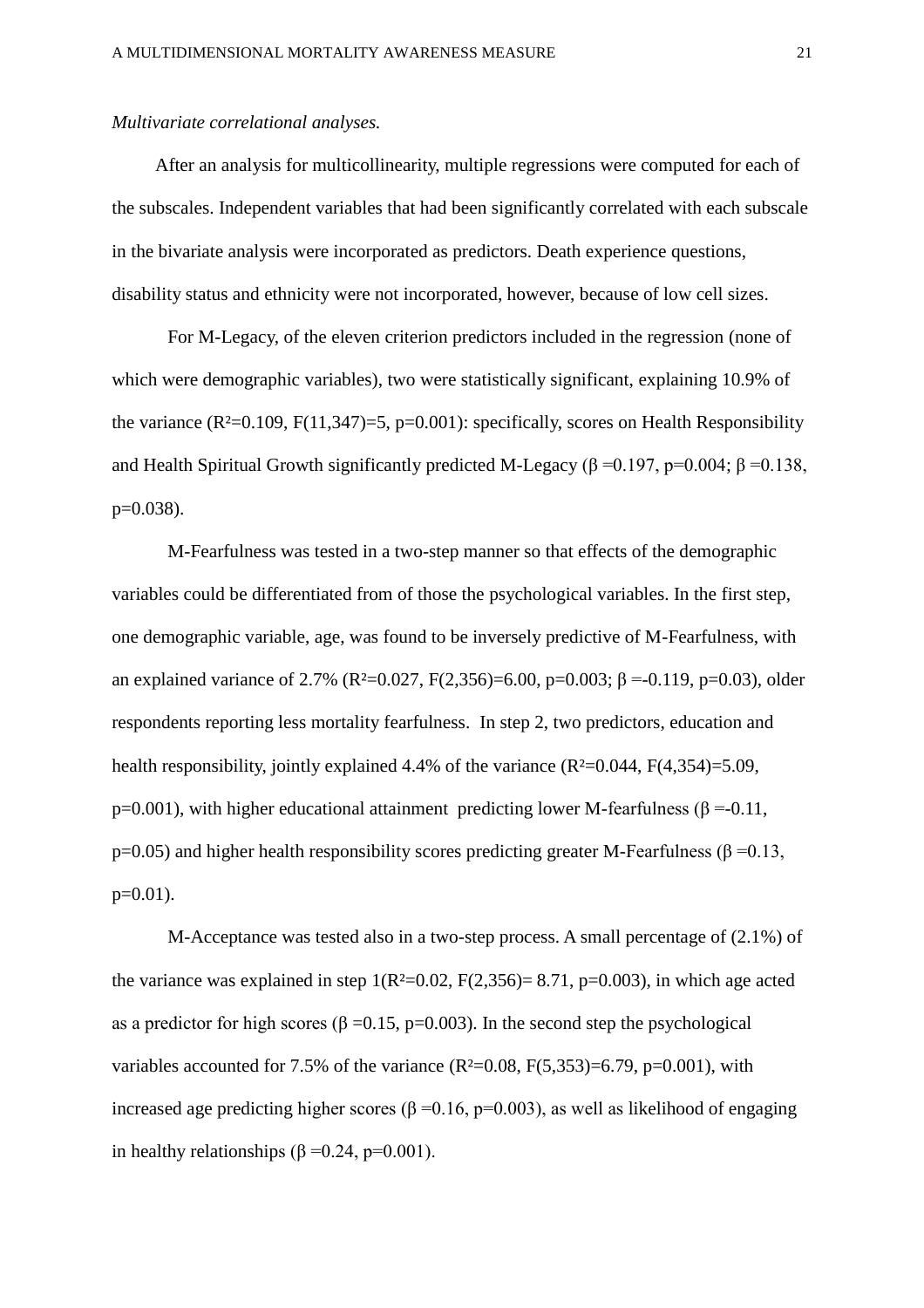#### *Multivariate correlational analyses.*

After an analysis for multicollinearity, multiple regressions were computed for each of the subscales. Independent variables that had been significantly correlated with each subscale in the bivariate analysis were incorporated as predictors. Death experience questions, disability status and ethnicity were not incorporated, however, because of low cell sizes.

For M-Legacy, of the eleven criterion predictors included in the regression (none of which were demographic variables), two were statistically significant, explaining 10.9% of the variance  $(R^2=0.109, F(11,347)=5, p=0.001)$ : specifically, scores on Health Responsibility and Health Spiritual Growth significantly predicted M-Legacy (β = 0.197, p=0.004; β = 0.138,  $p=0.038$ ).

M-Fearfulness was tested in a two-step manner so that effects of the demographic variables could be differentiated from of those the psychological variables. In the first step, one demographic variable, age, was found to be inversely predictive of M-Fearfulness, with an explained variance of 2.7% (R<sup>2</sup>=0.027, F(2,356)=6.00, p=0.003; β =-0.119, p=0.03), older respondents reporting less mortality fearfulness. In step 2, two predictors, education and health responsibility, jointly explained 4.4% of the variance  $(R<sup>2</sup>=0.044, F(4,354)=5.09,$ p=0.001), with higher educational attainment predicting lower M-fearfulness ( $\beta$  =-0.11, p=0.05) and higher health responsibility scores predicting greater M-Fearfulness ( $\beta$ =0.13,  $p=0.01$ ).

M-Acceptance was tested also in a two-step process. A small percentage of (2.1%) of the variance was explained in step  $1(R<sup>2</sup>=0.02, F(2,356)=8.71, p=0.003)$ , in which age acted as a predictor for high scores ( $\beta = 0.15$ , p=0.003). In the second step the psychological variables accounted for 7.5% of the variance  $(R^2=0.08, F(5,353)=6.79, p=0.001)$ , with increased age predicting higher scores (β = 0.16, p=0.003), as well as likelihood of engaging in healthy relationships ( $\beta$  =0.24, p=0.001).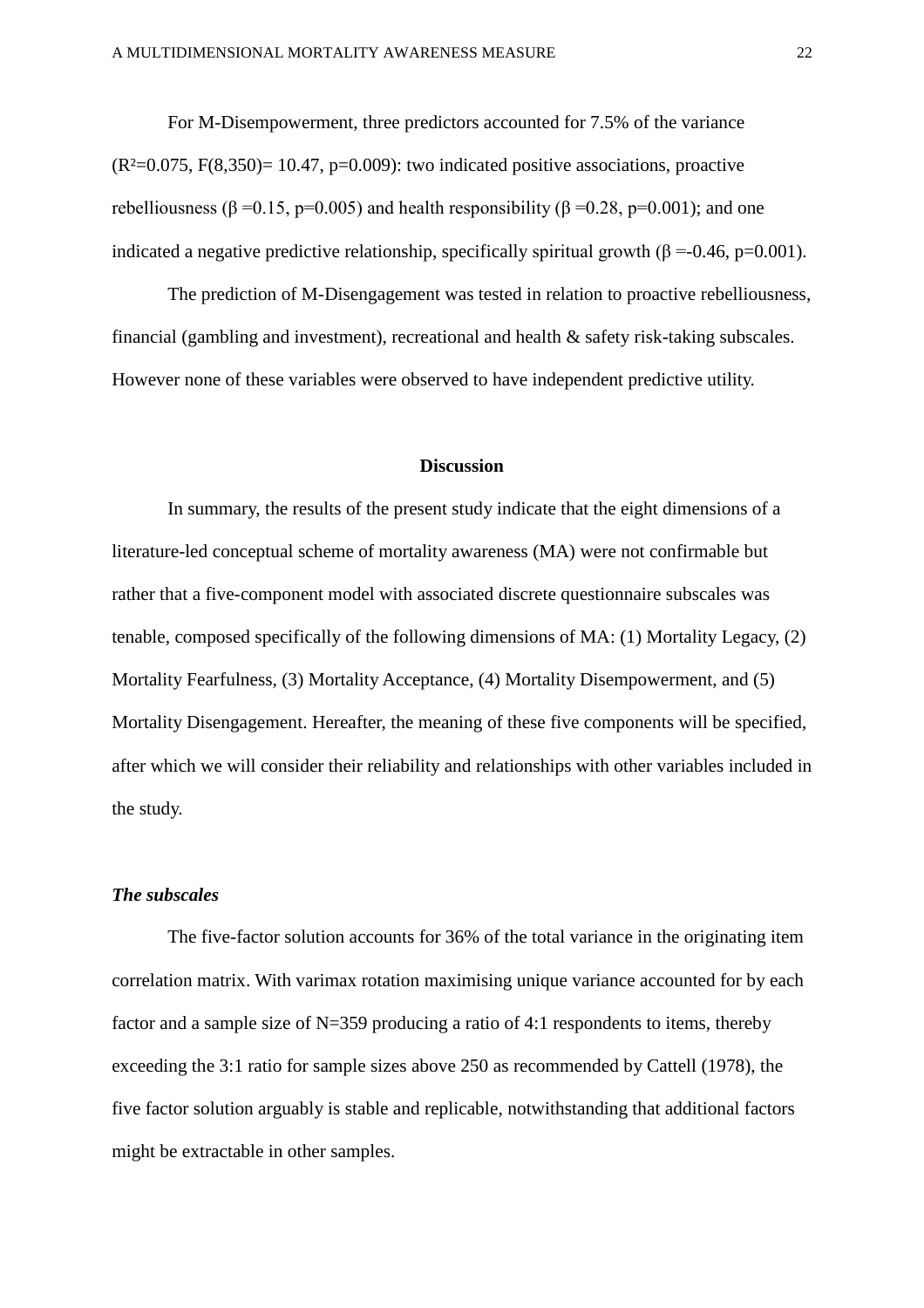For M-Disempowerment, three predictors accounted for 7.5% of the variance  $(R<sup>2</sup>=0.075, F(8.350)= 10.47, p=0.009)$ : two indicated positive associations, proactive rebelliousness (β = 0.15, p=0.005) and health responsibility (β = 0.28, p=0.001); and one indicated a negative predictive relationship, specifically spiritual growth ( $\beta = -0.46$ , p=0.001).

The prediction of M-Disengagement was tested in relation to proactive rebelliousness, financial (gambling and investment), recreational and health & safety risk-taking subscales. However none of these variables were observed to have independent predictive utility.

#### **Discussion**

In summary, the results of the present study indicate that the eight dimensions of a literature-led conceptual scheme of mortality awareness (MA) were not confirmable but rather that a five-component model with associated discrete questionnaire subscales was tenable, composed specifically of the following dimensions of MA: (1) Mortality Legacy, (2) Mortality Fearfulness, (3) Mortality Acceptance, (4) Mortality Disempowerment, and (5) Mortality Disengagement. Hereafter, the meaning of these five components will be specified, after which we will consider their reliability and relationships with other variables included in the study.

## *The subscales*

The five-factor solution accounts for 36% of the total variance in the originating item correlation matrix. With varimax rotation maximising unique variance accounted for by each factor and a sample size of N=359 producing a ratio of 4:1 respondents to items, thereby exceeding the 3:1 ratio for sample sizes above 250 as recommended by Cattell (1978), the five factor solution arguably is stable and replicable, notwithstanding that additional factors might be extractable in other samples.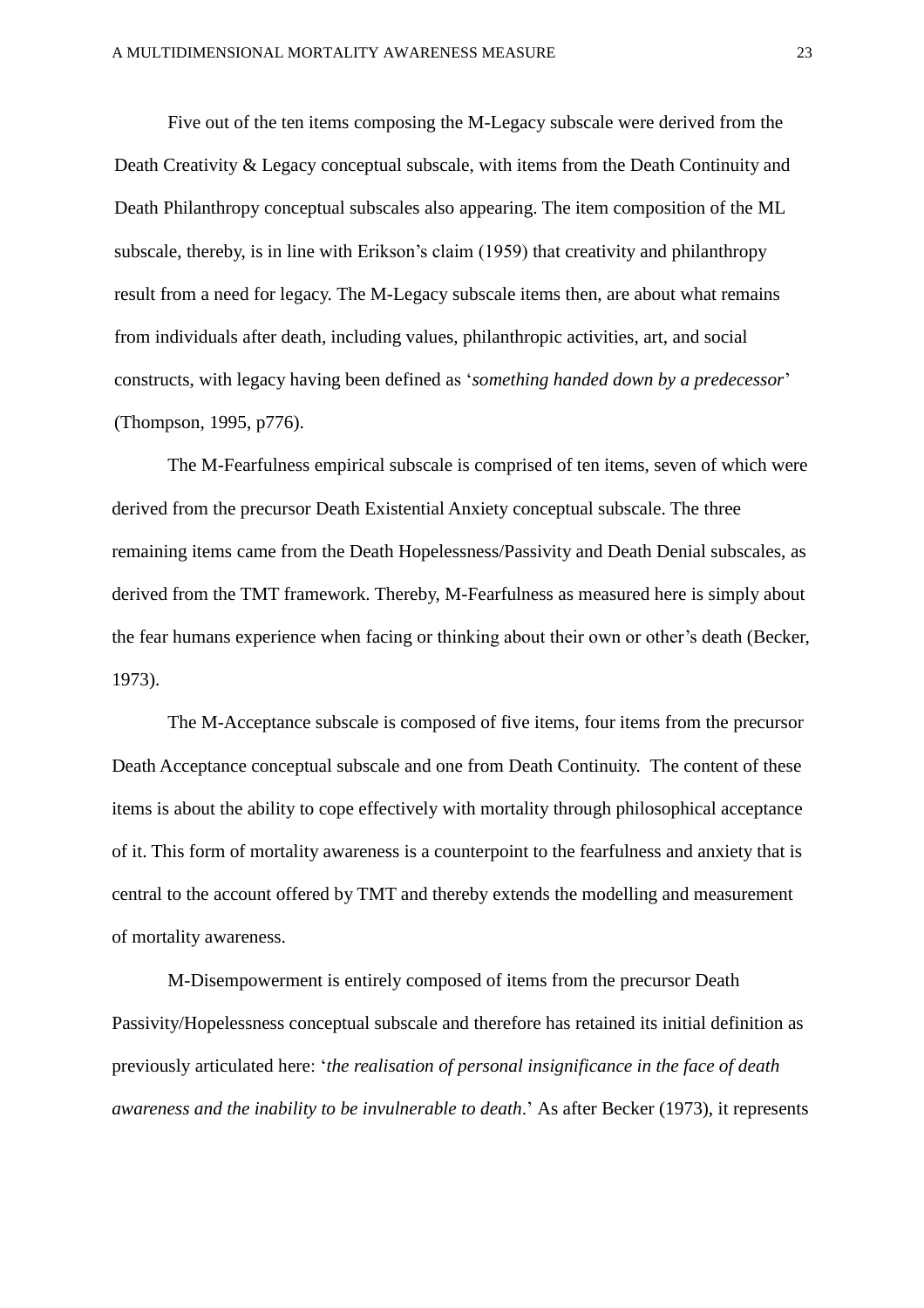Five out of the ten items composing the M-Legacy subscale were derived from the Death Creativity & Legacy conceptual subscale, with items from the Death Continuity and Death Philanthropy conceptual subscales also appearing. The item composition of the ML subscale, thereby, is in line with Erikson's claim (1959) that creativity and philanthropy result from a need for legacy. The M-Legacy subscale items then, are about what remains from individuals after death, including values, philanthropic activities, art, and social constructs, with legacy having been defined as '*something handed down by a predecessor*' (Thompson, 1995, p776).

The M-Fearfulness empirical subscale is comprised of ten items, seven of which were derived from the precursor Death Existential Anxiety conceptual subscale. The three remaining items came from the Death Hopelessness/Passivity and Death Denial subscales, as derived from the TMT framework. Thereby, M-Fearfulness as measured here is simply about the fear humans experience when facing or thinking about their own or other's death (Becker, 1973).

The M-Acceptance subscale is composed of five items, four items from the precursor Death Acceptance conceptual subscale and one from Death Continuity. The content of these items is about the ability to cope effectively with mortality through philosophical acceptance of it. This form of mortality awareness is a counterpoint to the fearfulness and anxiety that is central to the account offered by TMT and thereby extends the modelling and measurement of mortality awareness.

M-Disempowerment is entirely composed of items from the precursor Death Passivity/Hopelessness conceptual subscale and therefore has retained its initial definition as previously articulated here: '*the realisation of personal insignificance in the face of death awareness and the inability to be invulnerable to death*.' As after Becker (1973), it represents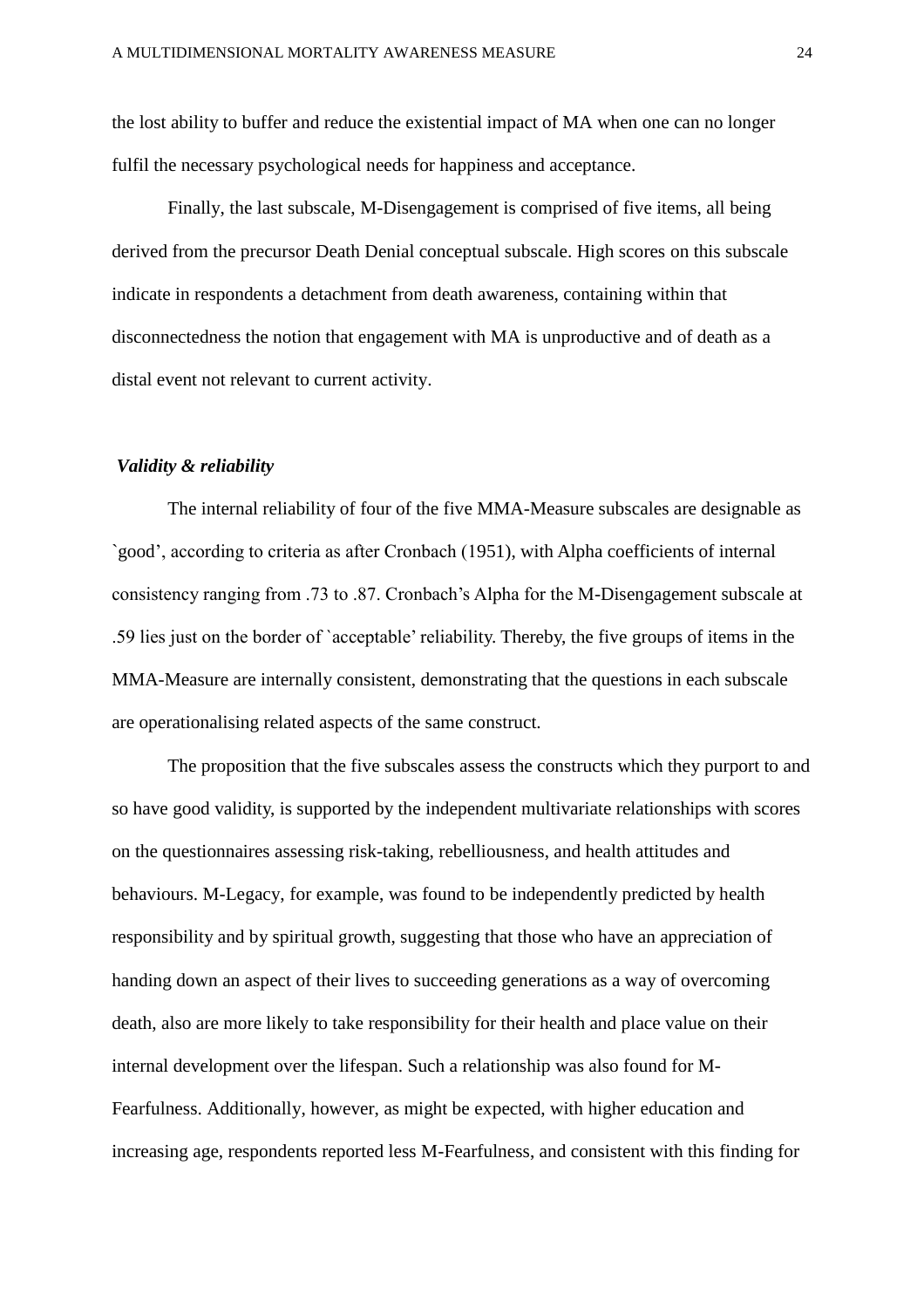the lost ability to buffer and reduce the existential impact of MA when one can no longer fulfil the necessary psychological needs for happiness and acceptance.

Finally, the last subscale, M-Disengagement is comprised of five items, all being derived from the precursor Death Denial conceptual subscale. High scores on this subscale indicate in respondents a detachment from death awareness, containing within that disconnectedness the notion that engagement with MA is unproductive and of death as a distal event not relevant to current activity.

#### *Validity & reliability*

The internal reliability of four of the five MMA-Measure subscales are designable as `good', according to criteria as after Cronbach (1951), with Alpha coefficients of internal consistency ranging from .73 to .87. Cronbach's Alpha for the M-Disengagement subscale at .59 lies just on the border of `acceptable' reliability. Thereby, the five groups of items in the MMA-Measure are internally consistent, demonstrating that the questions in each subscale are operationalising related aspects of the same construct.

The proposition that the five subscales assess the constructs which they purport to and so have good validity, is supported by the independent multivariate relationships with scores on the questionnaires assessing risk-taking, rebelliousness, and health attitudes and behaviours. M-Legacy, for example, was found to be independently predicted by health responsibility and by spiritual growth, suggesting that those who have an appreciation of handing down an aspect of their lives to succeeding generations as a way of overcoming death, also are more likely to take responsibility for their health and place value on their internal development over the lifespan. Such a relationship was also found for M-Fearfulness. Additionally, however, as might be expected, with higher education and increasing age, respondents reported less M-Fearfulness, and consistent with this finding for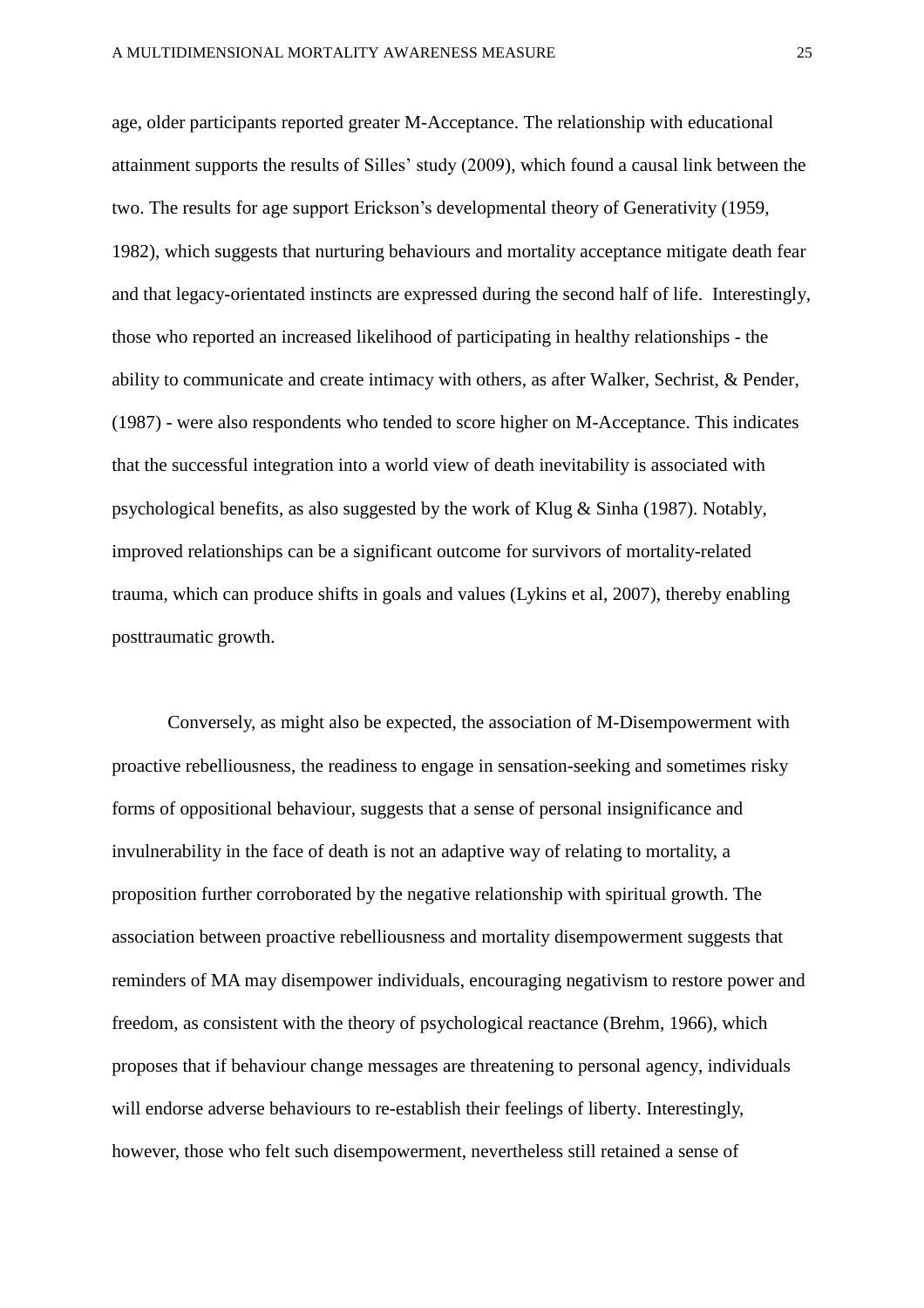age, older participants reported greater M-Acceptance. The relationship with educational attainment supports the results of Silles' study (2009), which found a causal link between the two. The results for age support Erickson's developmental theory of Generativity (1959, 1982), which suggests that nurturing behaviours and mortality acceptance mitigate death fear and that legacy-orientated instincts are expressed during the second half of life. Interestingly, those who reported an increased likelihood of participating in healthy relationships - the ability to communicate and create intimacy with others, as after Walker, Sechrist, & Pender, (1987) - were also respondents who tended to score higher on M-Acceptance. This indicates that the successful integration into a world view of death inevitability is associated with psychological benefits, as also suggested by the work of Klug & Sinha (1987). Notably, improved relationships can be a significant outcome for survivors of mortality-related trauma, which can produce shifts in goals and values (Lykins et al, 2007), thereby enabling posttraumatic growth.

Conversely, as might also be expected, the association of M-Disempowerment with proactive rebelliousness, the readiness to engage in sensation-seeking and sometimes risky forms of oppositional behaviour, suggests that a sense of personal insignificance and invulnerability in the face of death is not an adaptive way of relating to mortality, a proposition further corroborated by the negative relationship with spiritual growth. The association between proactive rebelliousness and mortality disempowerment suggests that reminders of MA may disempower individuals, encouraging negativism to restore power and freedom, as consistent with the theory of psychological reactance (Brehm, 1966), which proposes that if behaviour change messages are threatening to personal agency, individuals will endorse adverse behaviours to re-establish their feelings of liberty. Interestingly, however, those who felt such disempowerment, nevertheless still retained a sense of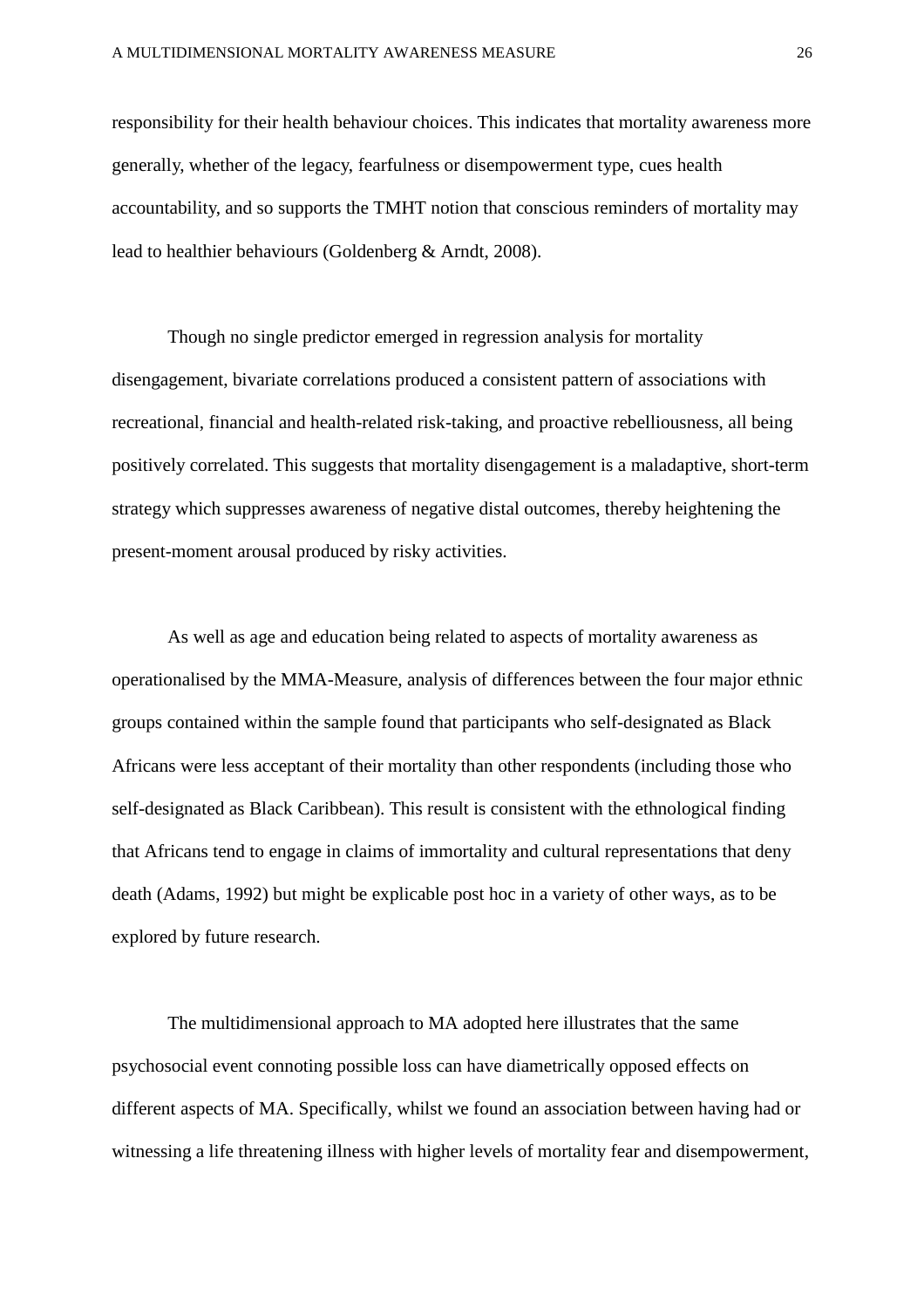responsibility for their health behaviour choices. This indicates that mortality awareness more generally, whether of the legacy, fearfulness or disempowerment type, cues health accountability, and so supports the TMHT notion that conscious reminders of mortality may lead to healthier behaviours (Goldenberg & Arndt, 2008).

Though no single predictor emerged in regression analysis for mortality disengagement, bivariate correlations produced a consistent pattern of associations with recreational, financial and health-related risk-taking, and proactive rebelliousness, all being positively correlated. This suggests that mortality disengagement is a maladaptive, short-term strategy which suppresses awareness of negative distal outcomes, thereby heightening the present-moment arousal produced by risky activities.

As well as age and education being related to aspects of mortality awareness as operationalised by the MMA-Measure, analysis of differences between the four major ethnic groups contained within the sample found that participants who self-designated as Black Africans were less acceptant of their mortality than other respondents (including those who self-designated as Black Caribbean). This result is consistent with the ethnological finding that Africans tend to engage in claims of immortality and cultural representations that deny death (Adams, 1992) but might be explicable post hoc in a variety of other ways, as to be explored by future research.

The multidimensional approach to MA adopted here illustrates that the same psychosocial event connoting possible loss can have diametrically opposed effects on different aspects of MA. Specifically, whilst we found an association between having had or witnessing a life threatening illness with higher levels of mortality fear and disempowerment,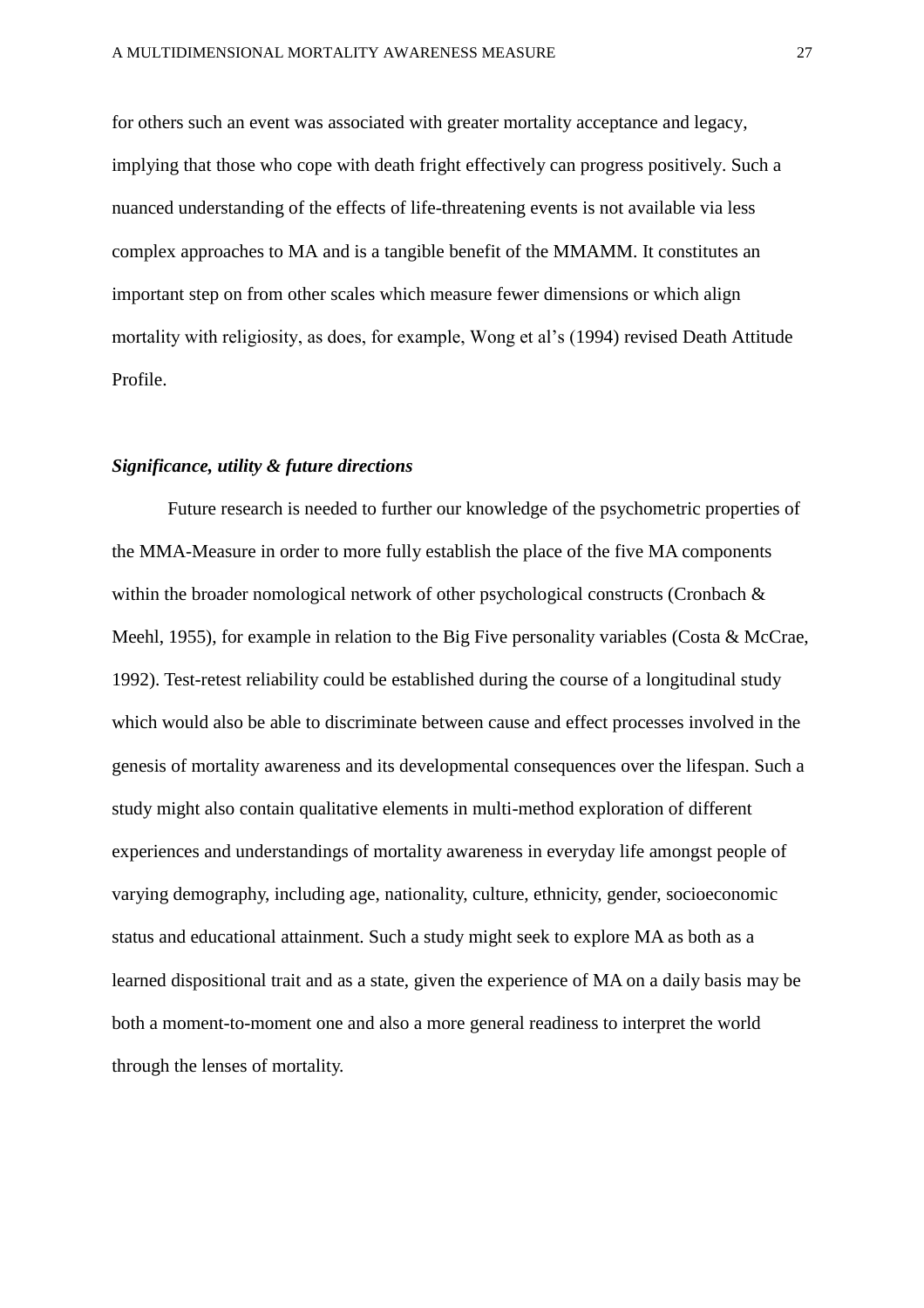for others such an event was associated with greater mortality acceptance and legacy, implying that those who cope with death fright effectively can progress positively. Such a nuanced understanding of the effects of life-threatening events is not available via less complex approaches to MA and is a tangible benefit of the MMAMM. It constitutes an important step on from other scales which measure fewer dimensions or which align mortality with religiosity, as does, for example, Wong et al's (1994) revised Death Attitude Profile.

#### *Significance, utility & future directions*

Future research is needed to further our knowledge of the psychometric properties of the MMA-Measure in order to more fully establish the place of the five MA components within the broader nomological network of other psychological constructs (Cronbach & Meehl, 1955), for example in relation to the Big Five personality variables (Costa & McCrae, 1992). Test-retest reliability could be established during the course of a longitudinal study which would also be able to discriminate between cause and effect processes involved in the genesis of mortality awareness and its developmental consequences over the lifespan. Such a study might also contain qualitative elements in multi-method exploration of different experiences and understandings of mortality awareness in everyday life amongst people of varying demography, including age, nationality, culture, ethnicity, gender, socioeconomic status and educational attainment. Such a study might seek to explore MA as both as a learned dispositional trait and as a state, given the experience of MA on a daily basis may be both a moment-to-moment one and also a more general readiness to interpret the world through the lenses of mortality.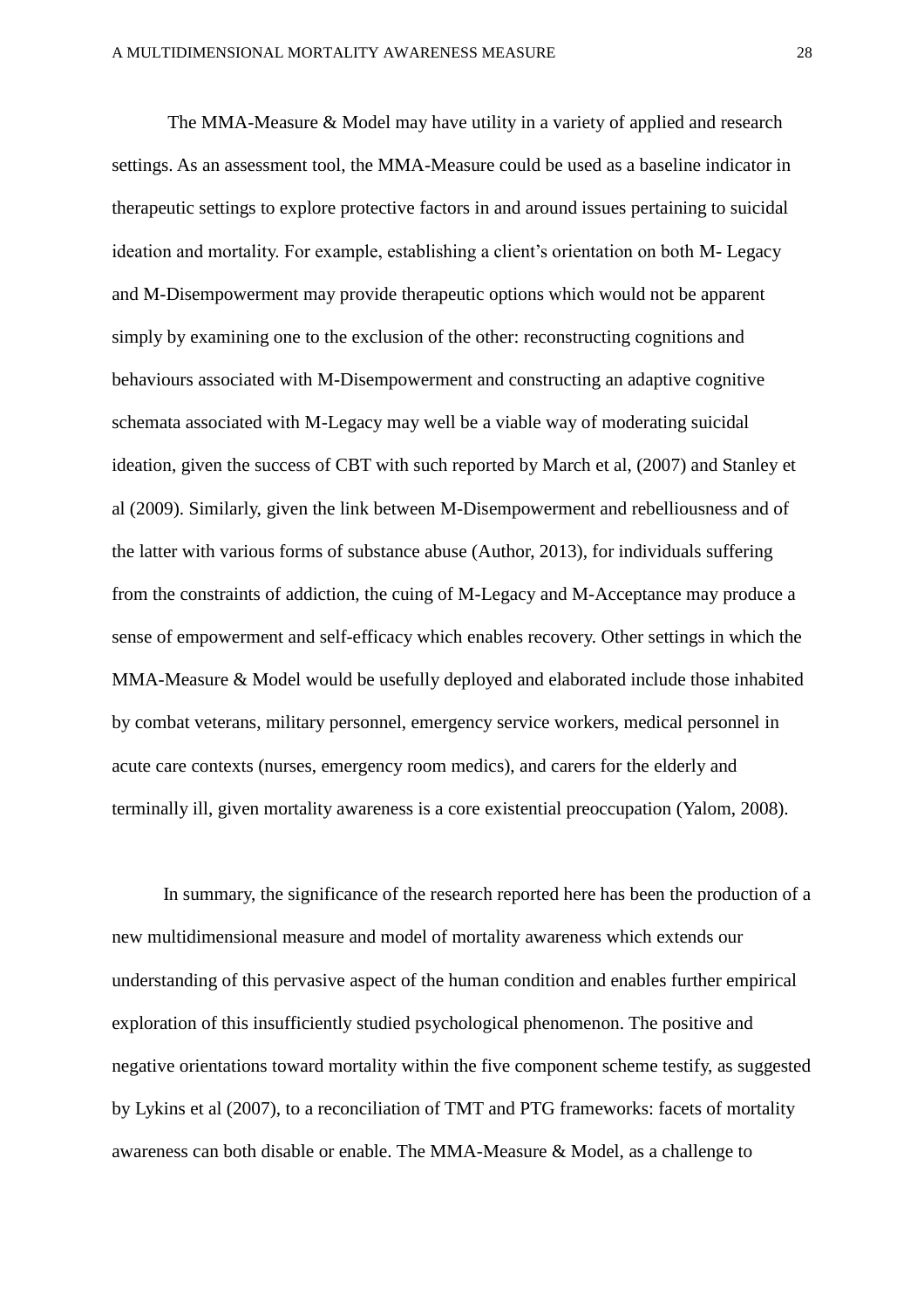The MMA-Measure & Model may have utility in a variety of applied and research settings. As an assessment tool, the MMA-Measure could be used as a baseline indicator in therapeutic settings to explore protective factors in and around issues pertaining to suicidal ideation and mortality. For example, establishing a client's orientation on both M- Legacy and M-Disempowerment may provide therapeutic options which would not be apparent simply by examining one to the exclusion of the other: reconstructing cognitions and behaviours associated with M-Disempowerment and constructing an adaptive cognitive schemata associated with M-Legacy may well be a viable way of moderating suicidal ideation, given the success of CBT with such reported by March et al, (2007) and Stanley et al (2009). Similarly, given the link between M-Disempowerment and rebelliousness and of the latter with various forms of substance abuse (Author, 2013), for individuals suffering from the constraints of addiction, the cuing of M-Legacy and M-Acceptance may produce a sense of empowerment and self-efficacy which enables recovery. Other settings in which the MMA-Measure & Model would be usefully deployed and elaborated include those inhabited by combat veterans, military personnel, emergency service workers, medical personnel in acute care contexts (nurses, emergency room medics), and carers for the elderly and terminally ill, given mortality awareness is a core existential preoccupation (Yalom, 2008).

 In summary, the significance of the research reported here has been the production of a new multidimensional measure and model of mortality awareness which extends our understanding of this pervasive aspect of the human condition and enables further empirical exploration of this insufficiently studied psychological phenomenon. The positive and negative orientations toward mortality within the five component scheme testify, as suggested by Lykins et al (2007), to a reconciliation of TMT and PTG frameworks: facets of mortality awareness can both disable or enable. The MMA-Measure & Model, as a challenge to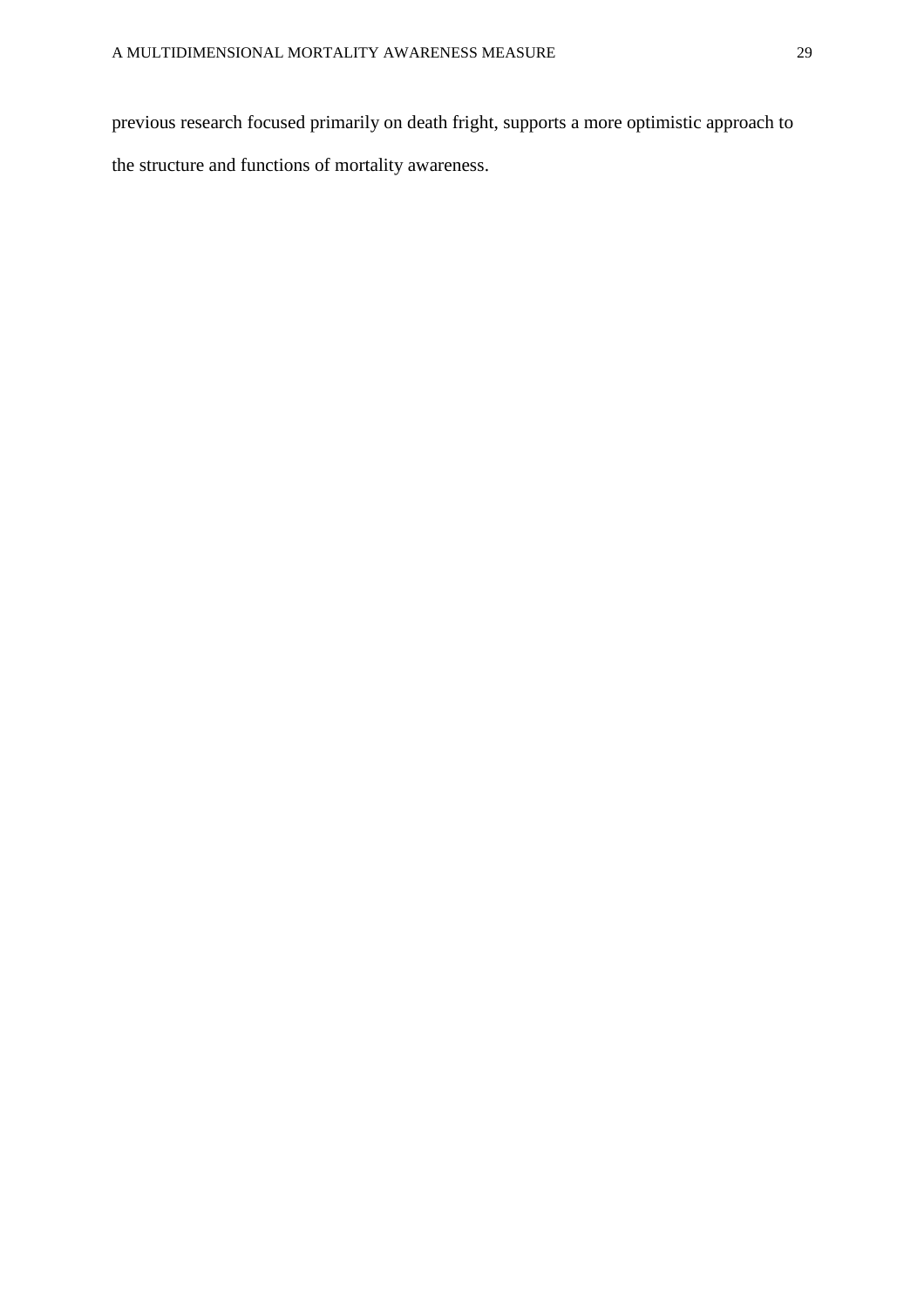previous research focused primarily on death fright, supports a more optimistic approach to the structure and functions of mortality awareness.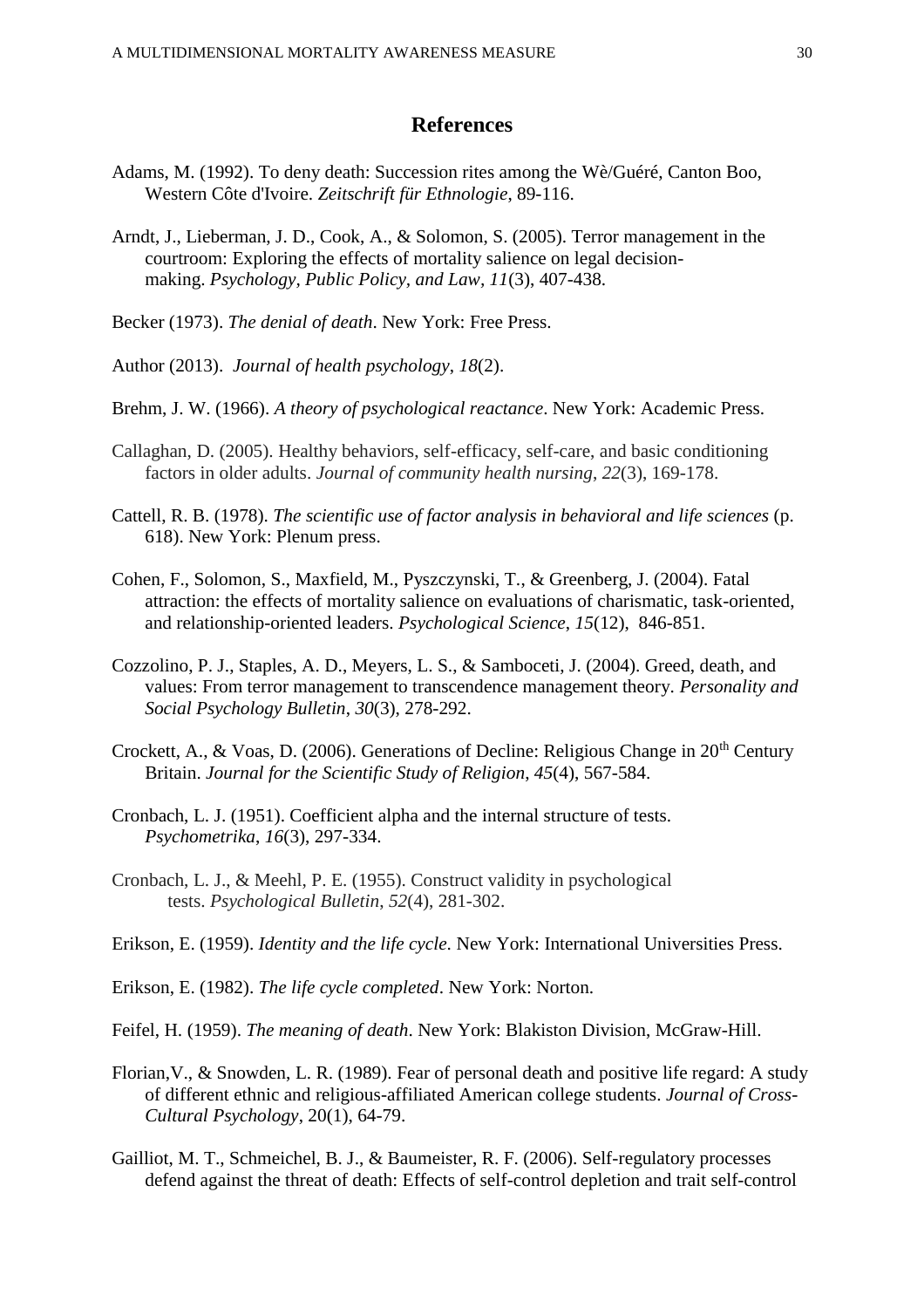## **References**

- Adams, M. (1992). To deny death: Succession rites among the Wè/Guéré, Canton Boo, Western Côte d'Ivoire. *Zeitschrift für Ethnologie*, 89-116.
- Arndt, J., Lieberman, J. D., Cook, A., & Solomon, S. (2005). Terror management in the courtroom: Exploring the effects of mortality salience on legal decisionmaking. *Psychology, Public Policy, and Law, 11*(3), 407-438.
- Becker (1973). *The denial of death*. New York: Free Press.
- Author (2013). *Journal of health psychology*, *18*(2).
- Brehm, J. W. (1966). *A theory of psychological reactance*. New York: Academic Press.
- Callaghan, D. (2005). Healthy behaviors, self-efficacy, self-care, and basic conditioning factors in older adults. *Journal of community health nursing*, *22*(3), 169-178.
- Cattell, R. B. (1978). *The scientific use of factor analysis in behavioral and life sciences* (p. 618). New York: Plenum press.
- Cohen, F., Solomon, S., Maxfield, M., Pyszczynski, T., & Greenberg, J. (2004). Fatal attraction: the effects of mortality salience on evaluations of charismatic, task-oriented, and relationship-oriented leaders. *Psychological Science*, *15*(12), 846-851.
- Cozzolino, P. J., Staples, A. D., Meyers, L. S., & Samboceti, J. (2004). Greed, death, and values: From terror management to transcendence management theory. *Personality and Social Psychology Bulletin*, *30*(3), 278-292.
- Crockett, A., & Voas, D. (2006). Generations of Decline: Religious Change in 20<sup>th</sup> Century Britain. *Journal for the Scientific Study of Religion*, *45*(4), 567-584.
- Cronbach, L. J. (1951). Coefficient alpha and the internal structure of tests. *Psychometrika*, *16*(3), 297-334.
- Cronbach, L. J., & Meehl, P. E. (1955). Construct validity in psychological tests. *Psychological Bulletin*, *52*(4), 281-302.
- Erikson, E. (1959). *Identity and the life cycle*. New York: International Universities Press.
- Erikson, E. (1982). *The life cycle completed*. New York: Norton.
- Feifel, H. (1959). *The meaning of death*. New York: Blakiston Division, McGraw-Hill.
- Florian,V., & Snowden, L. R. (1989). Fear of personal death and positive life regard: A study of different ethnic and religious-affiliated American college students. *Journal of Cross-Cultural Psychology*, 20(1), 64-79.
- Gailliot, M. T., Schmeichel, B. J., & Baumeister, R. F. (2006). Self-regulatory processes defend against the threat of death: Effects of self-control depletion and trait self-control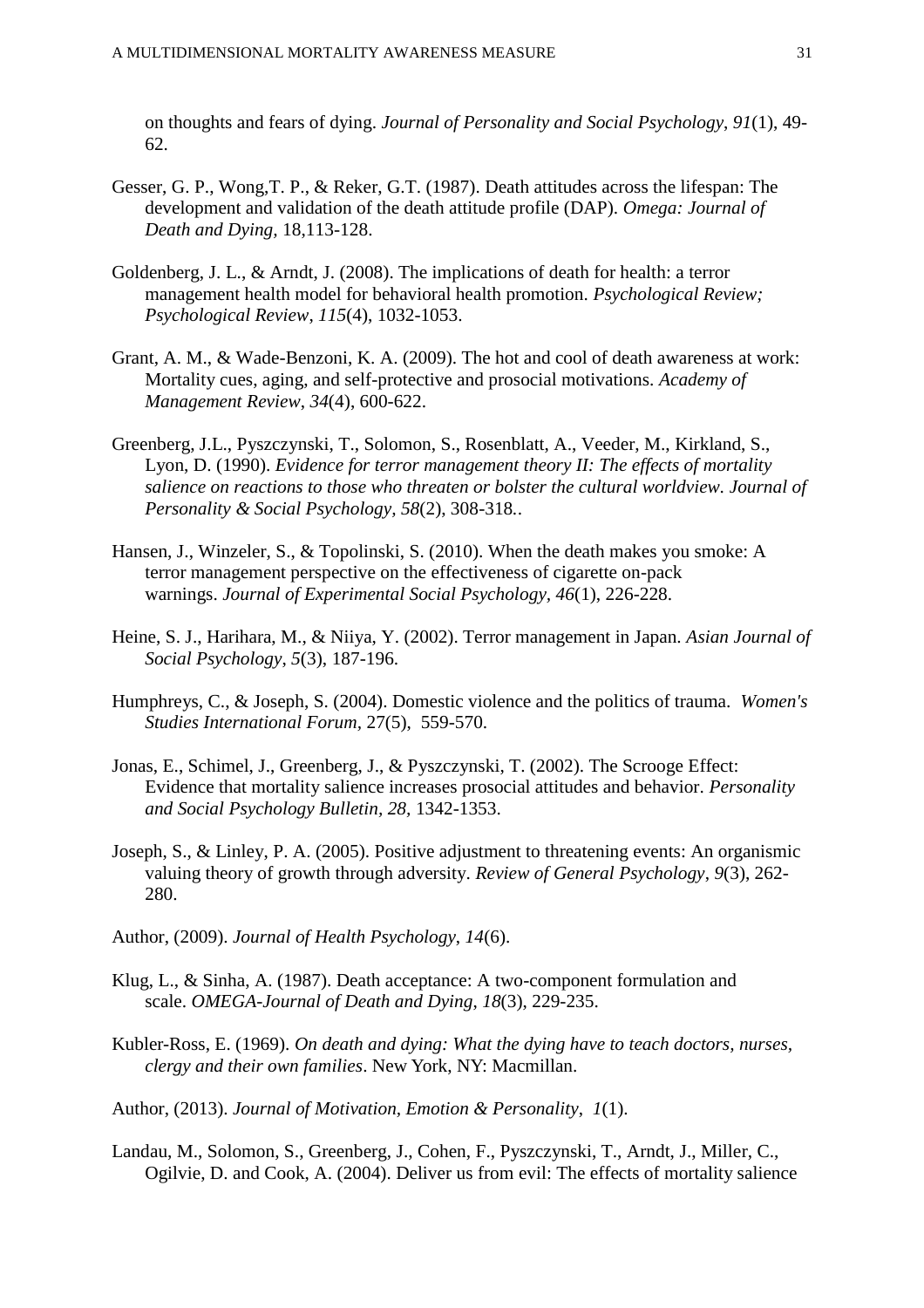on thoughts and fears of dying. *Journal of Personality and Social Psychology*, *91*(1), 49- 62.

- Gesser, G. P., Wong,T. P., & Reker, G.T. (1987). Death attitudes across the lifespan: The development and validation of the death attitude profile (DAP). *Omega: Journal of Death and Dying,* 18,113-128.
- Goldenberg, J. L., & Arndt, J. (2008). The implications of death for health: a terror management health model for behavioral health promotion. *Psychological Review; Psychological Review*, *115*(4), 1032-1053.
- Grant, A. M., & Wade-Benzoni, K. A. (2009). The hot and cool of death awareness at work: Mortality cues, aging, and self-protective and prosocial motivations. *Academy of Management Review*, *34*(4), 600-622.
- Greenberg, J.L., Pyszczynski, T., Solomon, S., Rosenblatt, A., Veeder, M., Kirkland, S., Lyon, D. (1990). *Evidence for terror management theory II: The effects of mortality salience on reactions to those who threaten or bolster the cultural worldview. Journal of Personality & Social Psychology, 58*(2), 308-318*.*.
- Hansen, J., Winzeler, S., & Topolinski, S. (2010). When the death makes you smoke: A terror management perspective on the effectiveness of cigarette on-pack warnings. *Journal of Experimental Social Psychology, 46*(1), 226-228.
- Heine, S. J., Harihara, M., & Niiya, Y. (2002). Terror management in Japan. *Asian Journal of Social Psychology*, *5*(3), 187-196.
- Humphreys, C., & Joseph, S. (2004). Domestic violence and the politics of trauma. *Women's Studies International Forum,* 27(5), 559-570.
- Jonas, E., Schimel, J., Greenberg, J., & Pyszczynski, T. (2002). The Scrooge Effect: Evidence that mortality salience increases prosocial attitudes and behavior. *Personality and Social Psychology Bulletin, 28,* 1342-1353.
- Joseph, S., & Linley, P. A. (2005). Positive adjustment to threatening events: An organismic valuing theory of growth through adversity. *Review of General Psychology*, *9*(3), 262- 280.
- Author, (2009). *Journal of Health Psychology*, *14*(6).
- Klug, L., & Sinha, A. (1987). Death acceptance: A two-component formulation and scale. *OMEGA-Journal of Death and Dying*, *18*(3), 229-235.
- Kubler-Ross, E. (1969). *On death and dying: What the dying have to teach doctors, nurses, clergy and their own families*. New York, NY: Macmillan.
- Author, (2013). *Journal of Motivation, Emotion & Personality*, *1*(1).
- Landau, M., Solomon, S., Greenberg, J., Cohen, F., Pyszczynski, T., Arndt, J., Miller, C., Ogilvie, D. and Cook, A. (2004). Deliver us from evil: The effects of mortality salience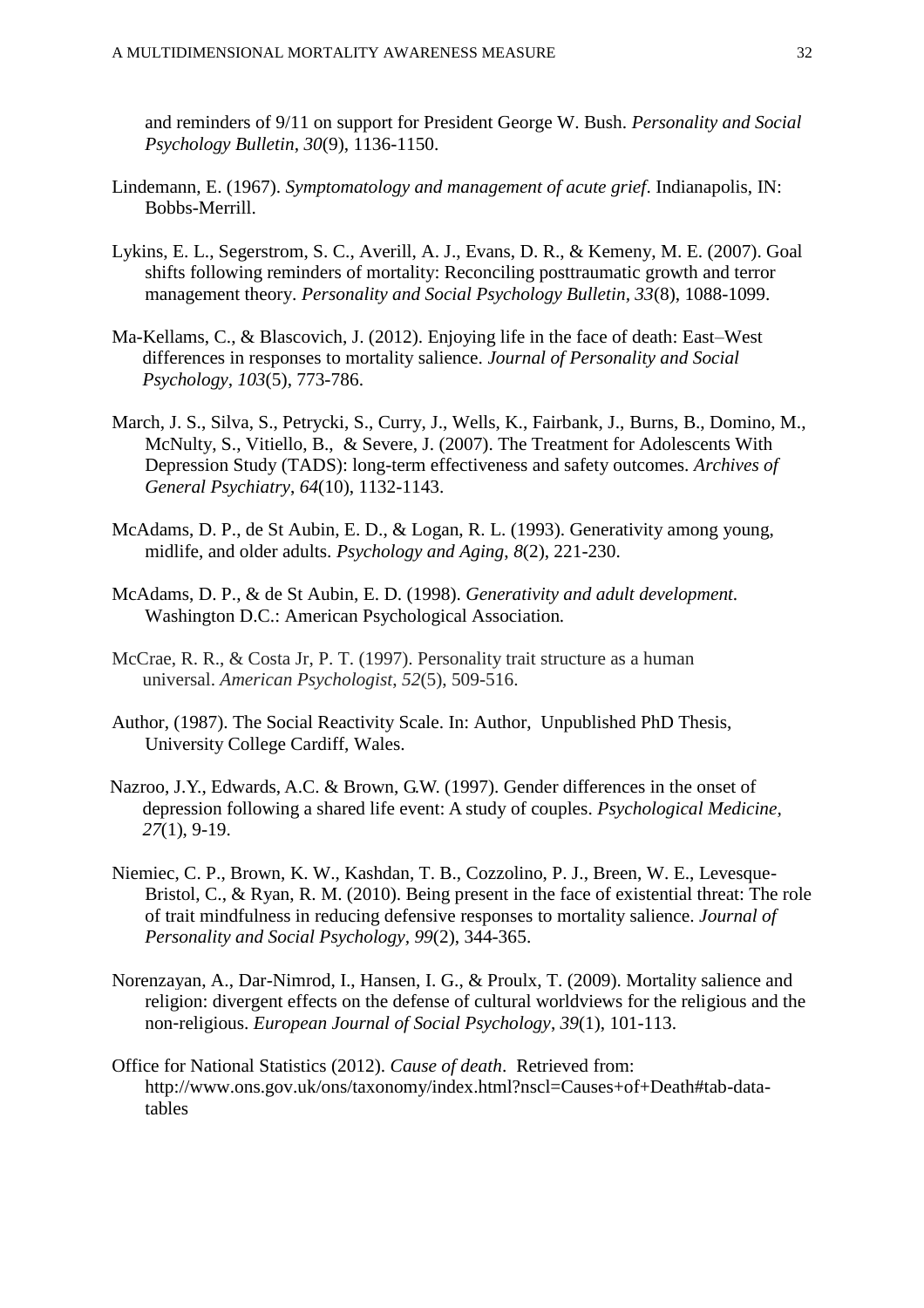and reminders of 9/11 on support for President George W. Bush. *Personality and Social Psychology Bulletin*, *30*(9), 1136-1150.

- Lindemann, E. (1967). *Symptomatology and management of acute grief*. Indianapolis, IN: Bobbs-Merrill.
- Lykins, E. L., Segerstrom, S. C., Averill, A. J., Evans, D. R., & Kemeny, M. E. (2007). Goal shifts following reminders of mortality: Reconciling posttraumatic growth and terror management theory. *Personality and Social Psychology Bulletin, 33*(8), 1088-1099.
- Ma-Kellams, C., & Blascovich, J. (2012). Enjoying life in the face of death: East–West differences in responses to mortality salience. *Journal of Personality and Social Psychology, 103*(5), 773-786.
- March, J. S., Silva, S., Petrycki, S., Curry, J., Wells, K., Fairbank, J., Burns, B., Domino, M., McNulty, S., Vitiello, B., & Severe, J. (2007). The Treatment for Adolescents With Depression Study (TADS): long-term effectiveness and safety outcomes. *Archives of General Psychiatry*, *64*(10), 1132-1143.
- McAdams, D. P., de St Aubin, E. D., & Logan, R. L. (1993). Generativity among young, midlife, and older adults. *Psychology and Aging*, *8*(2), 221-230.
- McAdams, D. P., & de St Aubin, E. D. (1998). *Generativity and adult development.*  Washington D.C.: American Psychological Association*.*
- McCrae, R. R., & Costa Jr, P. T. (1997). Personality trait structure as a human universal. *American Psychologist*, *52*(5), 509-516.
- Author, (1987). The Social Reactivity Scale. In: Author, Unpublished PhD Thesis, University College Cardiff, Wales.
- Nazroo, J.Y., Edwards, A.C. & Brown, G.W. (1997). Gender differences in the onset of depression following a shared life event: A study of couples. *Psychological Medicine, 27*(1), 9-19.
- Niemiec, C. P., Brown, K. W., Kashdan, T. B., Cozzolino, P. J., Breen, W. E., Levesque-Bristol, C., & Ryan, R. M. (2010). Being present in the face of existential threat: The role of trait mindfulness in reducing defensive responses to mortality salience. *Journal of Personality and Social Psychology, 99*(2), 344-365.
- Norenzayan, A., Dar-Nimrod, I., Hansen, I. G., & Proulx, T. (2009). Mortality salience and religion: divergent effects on the defense of cultural worldviews for the religious and the non-religious. *European Journal of Social Psychology*, *39*(1), 101-113.
- Office for National Statistics (2012). *Cause of death*. Retrieved from: [http://www.ons.gov.uk/ons/taxonomy/index.html?nscl=Causes+of+Death#tab-data](http://www.ons.gov.uk/ons/taxonomy/index.html?nscl=Causes+of+Death#tab-data-tables)[tables](http://www.ons.gov.uk/ons/taxonomy/index.html?nscl=Causes+of+Death#tab-data-tables)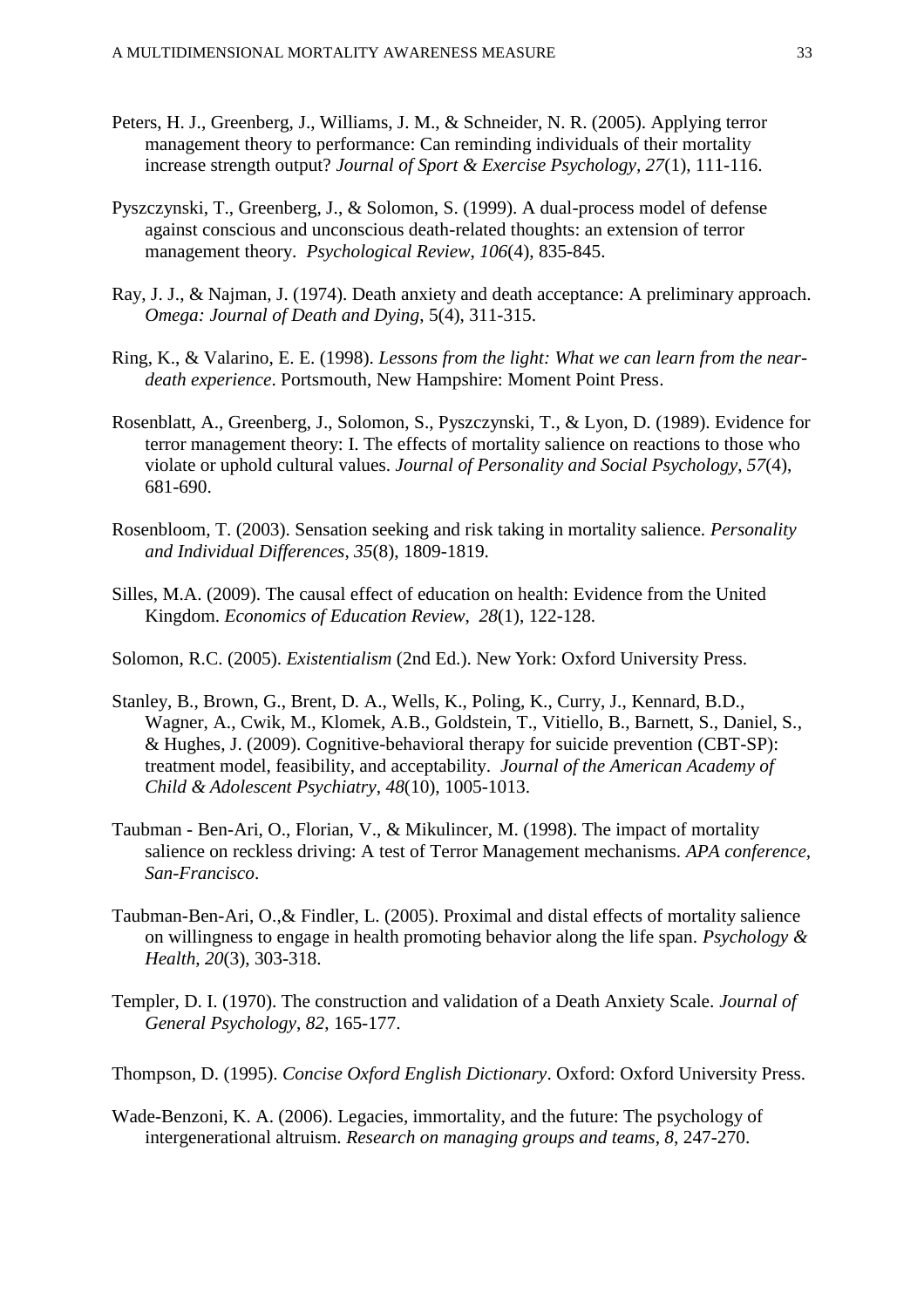- Peters, H. J., Greenberg, J., Williams, J. M., & Schneider, N. R. (2005). Applying terror management theory to performance: Can reminding individuals of their mortality increase strength output? *Journal of Sport & Exercise Psychology, 27*(1), 111-116.
- Pyszczynski, T., Greenberg, J., & Solomon, S. (1999). A dual-process model of defense against conscious and unconscious death-related thoughts: an extension of terror management theory. *Psychological Review*, *106*(4), 835-845.
- Ray, J. J., & Najman, J. (1974). Death anxiety and death acceptance: A preliminary approach. *Omega: Journal of Death and Dying*, 5(4), 311-315.
- Ring, K., & Valarino, E. E. (1998). *Lessons from the light: What we can learn from the neardeath experience*. Portsmouth, New Hampshire: Moment Point Press.
- Rosenblatt, A., Greenberg, J., Solomon, S., Pyszczynski, T., & Lyon, D. (1989). Evidence for terror management theory: I. The effects of mortality salience on reactions to those who violate or uphold cultural values. *Journal of Personality and Social Psychology*, *57*(4), 681-690.
- Rosenbloom, T. (2003). Sensation seeking and risk taking in mortality salience. *Personality and Individual Differences*, *35*(8), 1809-1819.
- Silles, M.A. (2009). The causal effect of education on health: Evidence from the United Kingdom. *Economics of Education Review*, *28*(1), 122-128.
- Solomon, R.C. (2005). *Existentialism* (2nd Ed.). New York: Oxford University Press.
- Stanley, B., Brown, G., Brent, D. A., Wells, K., Poling, K., Curry, J., Kennard, B.D., Wagner, A., Cwik, M., Klomek, A.B., Goldstein, T., Vitiello, B., Barnett, S., Daniel, S., & Hughes, J. (2009). Cognitive-behavioral therapy for suicide prevention (CBT-SP): treatment model, feasibility, and acceptability. *Journal of the American Academy of Child & Adolescent Psychiatry*, *48*(10), 1005-1013.
- Taubman Ben-Ari, O., Florian, V., & Mikulincer, M. (1998). The impact of mortality salience on reckless driving: A test of Terror Management mechanisms. *APA conference, San-Francisco*.
- Taubman-Ben-Ari, O.,& Findler, L. (2005). Proximal and distal effects of mortality salience on willingness to engage in health promoting behavior along the life span. *Psychology & Health*, *20*(3), 303-318.
- Templer, D. I. (1970). The construction and validation of a Death Anxiety Scale. *Journal of General Psychology*, *82*, 165-177.
- Thompson, D. (1995). *Concise Oxford English Dictionary*. Oxford: Oxford University Press.
- Wade-Benzoni, K. A. (2006). Legacies, immortality, and the future: The psychology of intergenerational altruism. *Research on managing groups and teams*, *8*, 247-270.